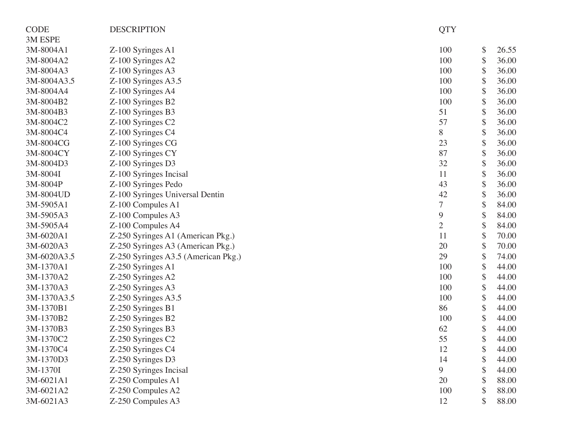| <b>CODE</b> | <b>DESCRIPTION</b>                  | <b>QTY</b>       |             |
|-------------|-------------------------------------|------------------|-------------|
| 3M ESPE     |                                     |                  |             |
| 3M-8004A1   | Z-100 Syringes A1                   | 100              | \$<br>26.55 |
| 3M-8004A2   | Z-100 Syringes A2                   | 100              | \$<br>36.00 |
| 3M-8004A3   | Z-100 Syringes A3                   | 100              | \$<br>36.00 |
| 3M-8004A3.5 | $Z-100$ Syringes A3.5               | 100              | \$<br>36.00 |
| 3M-8004A4   | Z-100 Syringes A4                   | 100              | \$<br>36.00 |
| 3M-8004B2   | Z-100 Syringes B2                   | 100              | \$<br>36.00 |
| 3M-8004B3   | Z-100 Syringes B3                   | 51               | \$<br>36.00 |
| 3M-8004C2   | Z-100 Syringes C2                   | 57               | \$<br>36.00 |
| 3M-8004C4   | Z-100 Syringes C4                   | 8                | \$<br>36.00 |
| 3M-8004CG   | Z-100 Syringes CG                   | 23               | \$<br>36.00 |
| 3M-8004CY   | Z-100 Syringes CY                   | 87               | \$<br>36.00 |
| 3M-8004D3   | Z-100 Syringes D3                   | 32               | \$<br>36.00 |
| 3M-8004I    | Z-100 Syringes Incisal              | 11               | \$<br>36.00 |
| 3M-8004P    | Z-100 Syringes Pedo                 | 43               | \$<br>36.00 |
| 3M-8004UD   | Z-100 Syringes Universal Dentin     | 42               | \$<br>36.00 |
| 3M-5905A1   | Z-100 Compules A1                   | $\boldsymbol{7}$ | \$<br>84.00 |
| 3M-5905A3   | Z-100 Compules A3                   | 9                | \$<br>84.00 |
| 3M-5905A4   | Z-100 Compules A4                   | $\overline{2}$   | \$<br>84.00 |
| 3M-6020A1   | Z-250 Syringes A1 (American Pkg.)   | 11               | \$<br>70.00 |
| 3M-6020A3   | Z-250 Syringes A3 (American Pkg.)   | 20               | \$<br>70.00 |
| 3M-6020A3.5 | Z-250 Syringes A3.5 (American Pkg.) | 29               | \$<br>74.00 |
| 3M-1370A1   | Z-250 Syringes A1                   | 100              | \$<br>44.00 |
| 3M-1370A2   | Z-250 Syringes A2                   | 100              | \$<br>44.00 |
| 3M-1370A3   | Z-250 Syringes A3                   | 100              | \$<br>44.00 |
| 3M-1370A3.5 | $Z-250$ Syringes A3.5               | 100              | \$<br>44.00 |
| 3M-1370B1   | Z-250 Syringes B1                   | 86               | \$<br>44.00 |
| 3M-1370B2   | Z-250 Syringes B2                   | 100              | \$<br>44.00 |
| 3M-1370B3   | Z-250 Syringes B3                   | 62               | \$<br>44.00 |
| 3M-1370C2   | Z-250 Syringes C2                   | 55               | \$<br>44.00 |
| 3M-1370C4   | Z-250 Syringes C4                   | 12               | \$<br>44.00 |
| 3M-1370D3   | Z-250 Syringes D3                   | 14               | \$<br>44.00 |
| 3M-1370I    | Z-250 Syringes Incisal              | 9                | 44.00       |
| 3M-6021A1   | Z-250 Compules A1                   | 20               | 88.00       |
| 3M-6021A2   | Z-250 Compules A2                   | 100              | 88.00       |
| 3M-6021A3   | Z-250 Compules A3                   | 12               | \$<br>88.00 |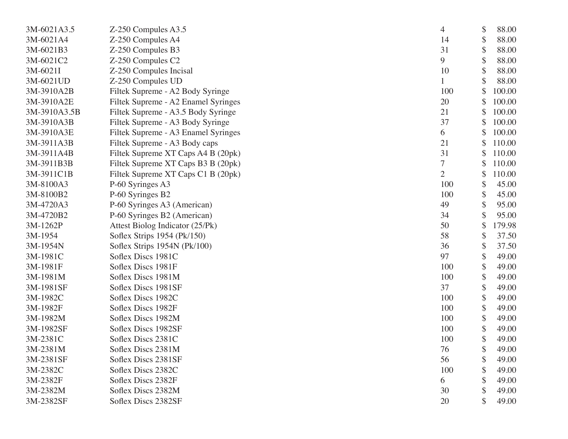| 3M-6021A3.5  | Z-250 Compules A3.5                 | 4              | \$ | 88.00  |
|--------------|-------------------------------------|----------------|----|--------|
| 3M-6021A4    | Z-250 Compules A4                   | 14             |    | 88.00  |
| 3M-6021B3    | Z-250 Compules B3                   | 31             | \$ | 88.00  |
| 3M-6021C2    | Z-250 Compules C2                   | 9              |    | 88.00  |
| 3M-6021I     | Z-250 Compules Incisal              | 10             | \$ | 88.00  |
| 3M-6021UD    | Z-250 Compules UD                   |                |    | 88.00  |
| 3M-3910A2B   | Filtek Supreme - A2 Body Syringe    | 100            |    | 100.00 |
| 3M-3910A2E   | Filtek Supreme - A2 Enamel Syringes | 20             | \$ | 100.00 |
| 3M-3910A3.5B | Filtek Supreme - A3.5 Body Syringe  | 21             |    | 100.00 |
| 3M-3910A3B   | Filtek Supreme - A3 Body Syringe    | 37             | \$ | 100.00 |
| 3M-3910A3E   | Filtek Supreme - A3 Enamel Syringes | 6              |    | 100.00 |
| 3M-3911A3B   | Filtek Supreme - A3 Body caps       | 21             |    | 110.00 |
| 3M-3911A4B   | Filtek Supreme XT Caps A4 B (20pk)  | 31             | \$ | 110.00 |
| 3M-3911B3B   | Filtek Supreme XT Caps B3 B (20pk)  | 7              | S  | 110.00 |
| 3M-3911C1B   | Filtek Supreme XT Caps C1 B (20pk)  | $\overline{2}$ | \$ | 110.00 |
| 3M-8100A3    | P-60 Syringes A3                    | 100            | \$ | 45.00  |
| 3M-8100B2    | P-60 Syringes B2                    | 100            |    | 45.00  |
| 3M-4720A3    | P-60 Syringes A3 (American)         | 49             | \$ | 95.00  |
| 3M-4720B2    | P-60 Syringes B2 (American)         | 34             |    | 95.00  |
| 3M-1262P     | Attest Biolog Indicator (25/Pk)     | 50             | \$ | 179.98 |
| 3M-1954      | Soflex Strips 1954 (Pk/150)         | 58             | \$ | 37.50  |
| 3M-1954N     | Soflex Strips 1954N (Pk/100)        | 36             |    | 37.50  |
| 3M-1981C     | Soflex Discs 1981C                  | 97             | \$ | 49.00  |
| 3M-1981F     | Soflex Discs 1981F                  | 100            | \$ | 49.00  |
| 3M-1981M     | Soflex Discs 1981M                  | 100            | \$ | 49.00  |
| 3M-1981SF    | Soflex Discs 1981SF                 | 37             | \$ | 49.00  |
| 3M-1982C     | Soflex Discs 1982C                  | 100            |    | 49.00  |
| 3M-1982F     | Soflex Discs 1982F                  | 100            | \$ | 49.00  |
| 3M-1982M     | Soflex Discs 1982M                  | 100            | \$ | 49.00  |
| 3M-1982SF    | Soflex Discs 1982SF                 | 100            |    | 49.00  |
| 3M-2381C     | Soflex Discs 2381C                  | 100            | \$ | 49.00  |
| 3M-2381M     | Soflex Discs 2381M                  | 76             | P  | 49.00  |
| 3M-2381SF    | Soflex Discs 2381SF                 | 56             |    | 49.00  |
| 3M-2382C     | Soflex Discs 2382C                  | 100            |    | 49.00  |
| 3M-2382F     | Soflex Discs 2382F                  | 6              |    | 49.00  |
| 3M-2382M     | Soflex Discs 2382M                  | 30             |    | 49.00  |
| 3M-2382SF    | Soflex Discs 2382SF                 | 20             | \$ | 49.00  |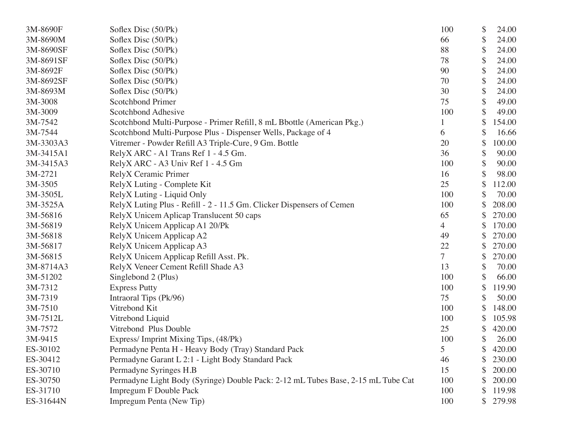| 3M-8690F  | Soflex Disc (50/Pk)                                                              | 100            | \$ | 24.00  |
|-----------|----------------------------------------------------------------------------------|----------------|----|--------|
| 3M-8690M  | Soflex Disc (50/Pk)                                                              | 66             | \$ | 24.00  |
| 3M-8690SF | Soflex Disc (50/Pk)                                                              | 88             | \$ | 24.00  |
| 3M-8691SF | Soflex Disc (50/Pk)                                                              | 78             | \$ | 24.00  |
| 3M-8692F  | Soflex Disc (50/Pk)                                                              | 90             | \$ | 24.00  |
| 3M-8692SF | Soflex Disc (50/Pk)                                                              | 70             | \$ | 24.00  |
| 3M-8693M  | Soflex Disc (50/Pk)                                                              | 30             | \$ | 24.00  |
| 3M-3008   | <b>Scotchbond Primer</b>                                                         | 75             | \$ | 49.00  |
| 3M-3009   | Scotchbond Adhesive                                                              | 100            | \$ | 49.00  |
| 3M-7542   | Scotchbond Multi-Purpose - Primer Refill, 8 mL Bbottle (American Pkg.)           |                | \$ | 154.00 |
| 3M-7544   | Scotchbond Multi-Purpose Plus - Dispenser Wells, Package of 4                    | 6              | \$ | 16.66  |
| 3M-3303A3 | Vitremer - Powder Refill A3 Triple-Cure, 9 Gm. Bottle                            | 20             | \$ | 100.00 |
| 3M-3415A1 | RelyX ARC - A1 Trans Ref 1 - 4.5 Gm.                                             | 36             | \$ | 90.00  |
| 3M-3415A3 | RelyX ARC - A3 Univ Ref 1 - 4.5 Gm                                               | 100            | \$ | 90.00  |
| 3M-2721   | RelyX Ceramic Primer                                                             | 16             | \$ | 98.00  |
| 3M-3505   | RelyX Luting - Complete Kit                                                      | 25             | S  | 112.00 |
| 3M-3505L  | RelyX Luting - Liquid Only                                                       | 100            | \$ | 70.00  |
| 3M-3525A  | RelyX Luting Plus - Refill - 2 - 11.5 Gm. Clicker Dispensers of Cemen            | 100            |    | 208.00 |
| 3M-56816  | RelyX Unicem Aplicap Translucent 50 caps                                         | 65             |    | 270.00 |
| 3M-56819  | RelyX Unicem Applicap A1 20/Pk                                                   | $\overline{4}$ | \$ | 170.00 |
| 3M-56818  | RelyX Unicem Applicap A2                                                         | 49             |    | 270.00 |
| 3M-56817  | RelyX Unicem Applicap A3                                                         | 22             | \$ | 270.00 |
| 3M-56815  | RelyX Unicem Applicap Refill Asst. Pk.                                           | $\overline{7}$ | \$ | 270.00 |
| 3M-8714A3 | RelyX Veneer Cement Refill Shade A3                                              | 13             | \$ | 70.00  |
| 3M-51202  | Singlebond 2 (Plus)                                                              | 100            | \$ | 66.00  |
| 3M-7312   | <b>Express Putty</b>                                                             | 100            | \$ | 119.90 |
| 3M-7319   | Intraoral Tips (Pk/96)                                                           | 75             | \$ | 50.00  |
| 3M-7510   | Vitrebond Kit                                                                    | 100            | \$ | 148.00 |
| 3M-7512L  | Vitrebond Liquid                                                                 | 100            |    | 105.98 |
| 3M-7572   | Vitrebond Plus Double                                                            | 25             | \$ | 420.00 |
| 3M-9415   | Express/Imprint Mixing Tips, (48/Pk)                                             | 100            | \$ | 26.00  |
| ES-30102  | Permadyne Penta H - Heavy Body (Tray) Standard Pack                              | 5              | \$ | 420.00 |
| ES-30412  | Permadyne Garant L 2:1 - Light Body Standard Pack                                | 46             |    | 230.00 |
| ES-30710  | Permadyne Syringes H.B                                                           | 15             |    | 200.00 |
| ES-30750  | Permadyne Light Body (Syringe) Double Pack: 2-12 mL Tubes Base, 2-15 mL Tube Cat | 100            | \$ | 200.00 |
| ES-31710  | <b>Impregum F Double Pack</b>                                                    | 100            | \$ | 119.98 |
| ES-31644N | Impregum Penta (New Tip)                                                         | 100            | \$ | 279.98 |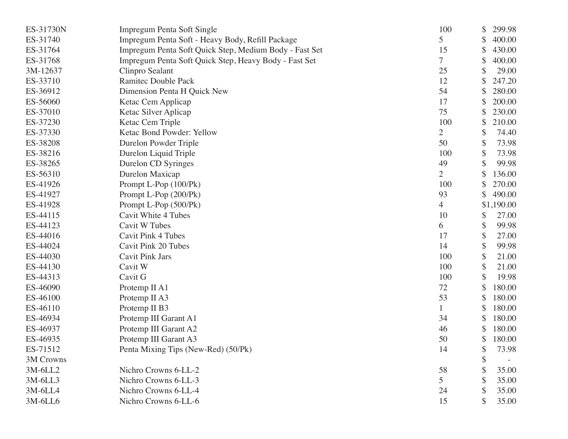| ES-31730N | Impregum Penta Soft Single                             | 100            | \$<br>299.98 |
|-----------|--------------------------------------------------------|----------------|--------------|
| ES-31740  | Impregum Penta Soft - Heavy Body, Refill Package       | 5              | \$<br>400.00 |
| ES-31764  | Impregum Penta Soft Quick Step, Medium Body - Fast Set | 15             | \$<br>430.00 |
| ES-31768  | Impregum Penta Soft Quick Step, Heavy Body - Fast Set  | 7              | \$<br>400.00 |
| 3M-12637  | Clinpro Sealant                                        | 25             | 29.00        |
| ES-33710  | <b>Ramitec Double Pack</b>                             | 12             | 247.20       |
| ES-36912  | Dimension Penta H Quick New                            | 54             | \$<br>280.00 |
| ES-56060  | Ketac Cem Applicap                                     | 17             | \$<br>200.00 |
| ES-37010  | Ketac Silver Aplicap                                   | 75             | \$<br>230.00 |
| ES-37230  | Ketac Cem Triple                                       | 100            | \$<br>210.00 |
| ES-37330  | Ketac Bond Powder: Yellow                              | $\overline{2}$ | \$<br>74.40  |
| ES-38208  | Durelon Powder Triple                                  | 50             | \$<br>73.98  |
| ES-38216  | Durelon Liquid Triple                                  | 100            | \$<br>73.98  |
| ES-38265  | Durelon CD Syringes                                    | 49             | \$<br>99.98  |
| ES-56310  | Durelon Maxicap                                        | $\overline{2}$ | \$<br>136.00 |
| ES-41926  | Prompt L-Pop (100/Pk)                                  | 100            | 270.00       |
| ES-41927  | Prompt L-Pop (200/Pk)                                  | 93             | \$<br>490.00 |
| ES-41928  | Prompt L-Pop (500/Pk)                                  | 4              | \$1,190.00   |
| ES-44115  | <b>Cavit White 4 Tubes</b>                             | 10             | \$<br>27.00  |
| ES-44123  | <b>Cavit W Tubes</b>                                   | 6              | \$<br>99.98  |
| ES-44016  | <b>Cavit Pink 4 Tubes</b>                              | 17             | \$<br>27.00  |
| ES-44024  | Cavit Pink 20 Tubes                                    | 14             | \$<br>99.98  |
| ES-44030  | <b>Cavit Pink Jars</b>                                 | 100            | \$<br>21.00  |
| ES-44130  | Cavit W                                                | 100            | \$<br>21.00  |
| ES-44313  | Cavit G                                                | 100            | \$<br>19.98  |
| ES-46090  | Protemp II A1                                          | 72             | 180.00       |
| ES-46100  | Protemp II A3                                          | 53             | \$<br>180.00 |
| ES-46110  | Protemp II B3                                          | 1              | \$<br>180.00 |
| ES-46934  | Protemp III Garant A1                                  | 34             | \$<br>180.00 |
| ES-46937  | Protemp III Garant A2                                  | 46             | \$<br>180.00 |
| ES-46935  | Protemp III Garant A3                                  | 50             | \$<br>180.00 |
| ES-71512  | Penta Mixing Tips (New-Red) (50/Pk)                    | 14             | \$<br>73.98  |
| 3M Crowns |                                                        |                | \$           |
| $3M-6LL2$ | Nichro Crowns 6-LL-2                                   | 58             | \$<br>35.00  |
| 3M-6LL3   | Nichro Crowns 6-LL-3                                   | 5              | \$<br>35.00  |
| 3M-6LL4   | Nichro Crowns 6-LL-4                                   | 24             | \$<br>35.00  |
| 3M-6LL6   | Nichro Crowns 6-LL-6                                   | 15             | 35.00        |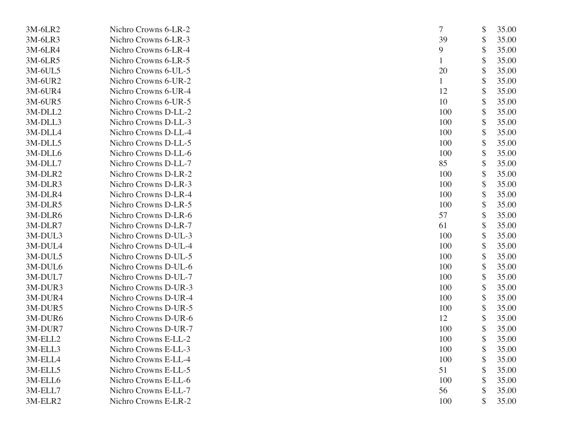| 3M-6LR2 | Nichro Crowns 6-LR-2 | 7   | \$<br>35.00 |
|---------|----------------------|-----|-------------|
| 3M-6LR3 | Nichro Crowns 6-LR-3 | 39  | \$<br>35.00 |
| 3M-6LR4 | Nichro Crowns 6-LR-4 | 9   | \$<br>35.00 |
| 3M-6LR5 | Nichro Crowns 6-LR-5 |     | \$<br>35.00 |
| 3M-6UL5 | Nichro Crowns 6-UL-5 | 20  | \$<br>35.00 |
| 3M-6UR2 | Nichro Crowns 6-UR-2 |     | \$<br>35.00 |
| 3M-6UR4 | Nichro Crowns 6-UR-4 | 12  | \$<br>35.00 |
| 3M-6UR5 | Nichro Crowns 6-UR-5 | 10  | \$<br>35.00 |
| 3M-DLL2 | Nichro Crowns D-LL-2 | 100 | \$<br>35.00 |
| 3M-DLL3 | Nichro Crowns D-LL-3 | 100 | \$<br>35.00 |
| 3M-DLL4 | Nichro Crowns D-LL-4 | 100 | \$<br>35.00 |
| 3M-DLL5 | Nichro Crowns D-LL-5 | 100 | \$<br>35.00 |
| 3M-DLL6 | Nichro Crowns D-LL-6 | 100 | \$<br>35.00 |
| 3M-DLL7 | Nichro Crowns D-LL-7 | 85  | \$<br>35.00 |
| 3M-DLR2 | Nichro Crowns D-LR-2 | 100 | \$<br>35.00 |
| 3M-DLR3 | Nichro Crowns D-LR-3 | 100 | \$<br>35.00 |
| 3M-DLR4 | Nichro Crowns D-LR-4 | 100 | \$<br>35.00 |
| 3M-DLR5 | Nichro Crowns D-LR-5 | 100 | \$<br>35.00 |
| 3M-DLR6 | Nichro Crowns D-LR-6 | 57  | \$<br>35.00 |
| 3M-DLR7 | Nichro Crowns D-LR-7 | 61  | \$<br>35.00 |
| 3M-DUL3 | Nichro Crowns D-UL-3 | 100 | \$<br>35.00 |
| 3M-DUL4 | Nichro Crowns D-UL-4 | 100 | \$<br>35.00 |
| 3M-DUL5 | Nichro Crowns D-UL-5 | 100 | \$<br>35.00 |
| 3M-DUL6 | Nichro Crowns D-UL-6 | 100 | \$<br>35.00 |
| 3M-DUL7 | Nichro Crowns D-UL-7 | 100 | \$<br>35.00 |
| 3M-DUR3 | Nichro Crowns D-UR-3 | 100 | \$<br>35.00 |
| 3M-DUR4 | Nichro Crowns D-UR-4 | 100 | \$<br>35.00 |
| 3M-DUR5 | Nichro Crowns D-UR-5 | 100 | \$<br>35.00 |
| 3M-DUR6 | Nichro Crowns D-UR-6 | 12  | \$<br>35.00 |
| 3M-DUR7 | Nichro Crowns D-UR-7 | 100 | \$<br>35.00 |
| 3M-ELL2 | Nichro Crowns E-LL-2 | 100 | \$<br>35.00 |
| 3M-ELL3 | Nichro Crowns E-LL-3 | 100 | \$<br>35.00 |
| 3M-ELL4 | Nichro Crowns E-LL-4 | 100 | \$<br>35.00 |
| 3M-ELL5 | Nichro Crowns E-LL-5 | 51  | \$<br>35.00 |
| 3M-ELL6 | Nichro Crowns E-LL-6 | 100 | 35.00       |
| 3M-ELL7 | Nichro Crowns E-LL-7 | 56  | \$<br>35.00 |
| 3M-ELR2 | Nichro Crowns E-LR-2 | 100 | \$<br>35.00 |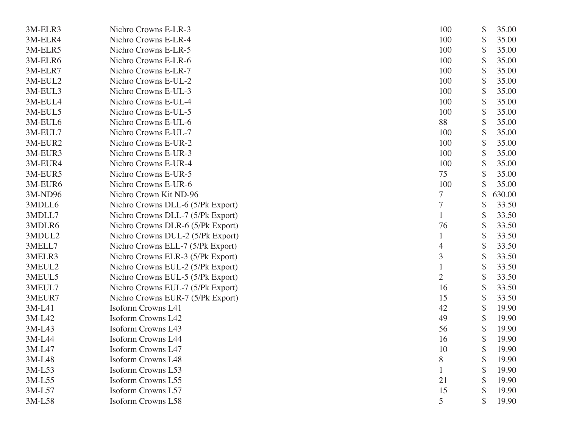| 3M-ELR3  | Nichro Crowns E-LR-3              | 100            | \$                        | 35.00  |
|----------|-----------------------------------|----------------|---------------------------|--------|
| 3M-ELR4  | Nichro Crowns E-LR-4              | 100            | \$                        | 35.00  |
| 3M-ELR5  | Nichro Crowns E-LR-5              | 100            | \$                        | 35.00  |
| 3M-ELR6  | Nichro Crowns E-LR-6              | 100            | \$                        | 35.00  |
| 3M-ELR7  | Nichro Crowns E-LR-7              | 100            | \$                        | 35.00  |
| 3M-EUL2  | Nichro Crowns E-UL-2              | 100            | \$                        | 35.00  |
| 3M-EUL3  | Nichro Crowns E-UL-3              | 100            | \$                        | 35.00  |
| 3M-EUL4  | Nichro Crowns E-UL-4              | 100            | \$                        | 35.00  |
| 3M-EUL5  | Nichro Crowns E-UL-5              | 100            | \$                        | 35.00  |
| 3M-EUL6  | Nichro Crowns E-UL-6              | 88             | \$                        | 35.00  |
| 3M-EUL7  | Nichro Crowns E-UL-7              | 100            | \$                        | 35.00  |
| 3M-EUR2  | Nichro Crowns E-UR-2              | 100            | \$                        | 35.00  |
| 3M-EUR3  | Nichro Crowns E-UR-3              | 100            | \$                        | 35.00  |
| 3M-EUR4  | Nichro Crowns E-UR-4              | 100            | \$                        | 35.00  |
| 3M-EUR5  | Nichro Crowns E-UR-5              | 75             | \$                        | 35.00  |
| 3M-EUR6  | Nichro Crowns E-UR-6              | 100            |                           | 35.00  |
| 3M-ND96  | Nichro Crown Kit ND-96            |                | \$                        | 630.00 |
| 3MDLL6   | Nichro Crowns DLL-6 (5/Pk Export) | $\overline{7}$ | \$                        | 33.50  |
| 3MDLL7   | Nichro Crowns DLL-7 (5/Pk Export) |                | $\boldsymbol{\mathsf{S}}$ | 33.50  |
| 3MDLR6   | Nichro Crowns DLR-6 (5/Pk Export) | 76             | \$                        | 33.50  |
| 3MDUL2   | Nichro Crowns DUL-2 (5/Pk Export) |                | \$                        | 33.50  |
| 3MELL7   | Nichro Crowns ELL-7 (5/Pk Export) | 4              | \$                        | 33.50  |
| 3MELR3   | Nichro Crowns ELR-3 (5/Pk Export) | 3              | \$                        | 33.50  |
| 3MEUL2   | Nichro Crowns EUL-2 (5/Pk Export) |                | $\boldsymbol{\mathsf{S}}$ | 33.50  |
| 3MEUL5   | Nichro Crowns EUL-5 (5/Pk Export) | $\overline{2}$ | \$                        | 33.50  |
| 3MEUL7   | Nichro Crowns EUL-7 (5/Pk Export) | 16             | \$                        | 33.50  |
| 3MEUR7   | Nichro Crowns EUR-7 (5/Pk Export) | 15             | \$                        | 33.50  |
| 3M-L41   | <b>Isoform Crowns L41</b>         | 42             | \$                        | 19.90  |
| 3M-L42   | <b>Isoform Crowns L42</b>         | 49             | $\boldsymbol{\mathsf{S}}$ | 19.90  |
| 3M-L43   | <b>Isoform Crowns L43</b>         | 56             | \$                        | 19.90  |
| 3M-L44   | <b>Isoform Crowns L44</b>         | 16             | \$                        | 19.90  |
| 3M-L47   | <b>Isoform Crowns L47</b>         | 10             | P                         | 19.90  |
| 3M-L48   | <b>Isoform Crowns L48</b>         | $8\,$          | \$                        | 19.90  |
| $3M-L53$ | <b>Isoform Crowns L53</b>         |                | S                         | 19.90  |
| 3M-L55   | Isoform Crowns L55                | 21             |                           | 19.90  |
| 3M-L57   | Isoform Crowns L57                | 15             | $\boldsymbol{\mathsf{S}}$ | 19.90  |
| 3M-L58   | <b>Isoform Crowns L58</b>         | 5              |                           | 19.90  |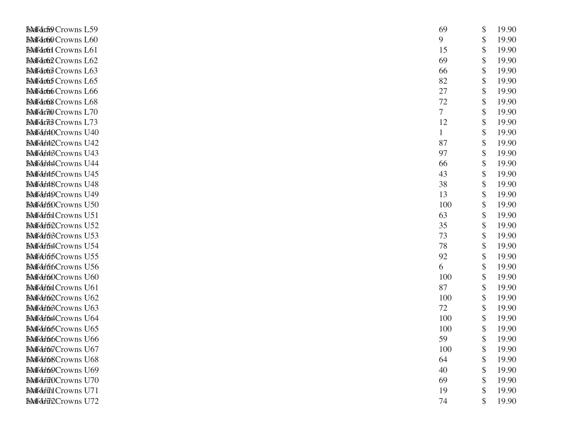| <b>Booffdr59 Crowns L59</b> | 69  | \$<br>19.90 |
|-----------------------------|-----|-------------|
| <b>Booffdr60</b> Crowns L60 | 9   | \$<br>19.90 |
| <b>Roffdrud</b> Crowns L61  | 15  | \$<br>19.90 |
| <b>Boffdr62</b> Crowns L62  | 69  | \$<br>19.90 |
| <b>Roffdr63</b> Crowns L63  | 66  | \$<br>19.90 |
| <b>Bolfdrun</b> Crowns L65  | 82  | \$<br>19.90 |
| <b>Bolfdr66</b> Crowns L66  | 27  | \$<br>19.90 |
| <b>Bolfdrug</b> Crowns L68  | 72  | \$<br>19.90 |
| Bolfdrid Crowns L70         | 7   | \$<br>19.90 |
| <b>Booffdrid Crowns L73</b> | 12  | \$<br>19.90 |
| <b>RMfdf40Crowns U40</b>    | 1   | \$<br>19.90 |
| <b>BMfdf42Crowns U42</b>    | 87  | \$<br>19.90 |
| <b>BMfdf4BCrowns U43</b>    | 97  | \$<br>19.90 |
| <b>BoffdfAACrowns U44</b>   | 66  | \$<br>19.90 |
| <b>BMfdf45Crowns U45</b>    | 43  | \$<br>19.90 |
| <b>BMfdJABCrowns U48</b>    | 38  | \$<br>19.90 |
| <b>BMfdf49Crowns U49</b>    | 13  | \$<br>19.90 |
| BoffdfofDCrowns U50         | 100 | \$<br>19.90 |
| <b>Roffdfol Crowns U51</b>  | 63  | \$<br>19.90 |
| <b>BMfdffi2Crowns U52</b>   | 35  | \$<br>19.90 |
| <b>BMfdJfi3Crowns U53</b>   | 73  | \$<br>19.90 |
| <b>BoffdfordCrowns U54</b>  | 78  | \$<br>19.90 |
| <b>BMHOfifCrowns U55</b>    | 92  | \$<br>19.90 |
| <b>BMfdfbf6Crowns U56</b>   | 6   | \$<br>19.90 |
| <b>BMfdf60Crowns U60</b>    | 100 | \$<br>19.90 |
| <b>Boffdfoil Crowns U61</b> | 87  | \$<br>19.90 |
| <b>BMfdf62Crowns U62</b>    | 100 | \$<br>19.90 |
| BolfdfoßCrowns U63          | 72  | \$<br>19.90 |
| <b>Boffdf64Crowns U64</b>   | 100 | \$<br>19.90 |
| <b>RNHdHffoCrowns U65</b>   | 100 | \$<br>19.90 |
| <b>BMfdf66Crowns U66</b>    | 59  | \$<br>19.90 |
| Boffdfor7Crowns U67         | 100 | \$<br>19.90 |
| <b>Roffdf68Crowns U68</b>   | 64  | \$<br>19.90 |
| <b>Roffdf69Crowns U69</b>   | 40  | \$<br>19.90 |
| BoffdfadOCrowns U70         | 69  | \$<br>19.90 |
| <b>Bolfdfild</b> Crowns U71 | 19  | \$<br>19.90 |
| <b>BMfdfift2Crowns U72</b>  | 74  | \$<br>19.90 |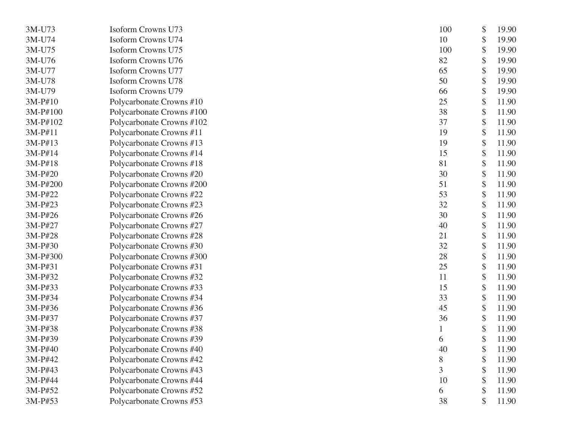| 3M-U73   | <b>Isoform Crowns U73</b> | 100 | \$<br>19.90 |
|----------|---------------------------|-----|-------------|
| 3M-U74   | <b>Isoform Crowns U74</b> | 10  | \$<br>19.90 |
| 3M-U75   | Isoform Crowns U75        | 100 | \$<br>19.90 |
| 3M-U76   | Isoform Crowns U76        | 82  | \$<br>19.90 |
| 3M-U77   | <b>Isoform Crowns U77</b> | 65  | \$<br>19.90 |
| 3M-U78   | <b>Isoform Crowns U78</b> | 50  | \$<br>19.90 |
| 3M-U79   | <b>Isoform Crowns U79</b> | 66  | \$<br>19.90 |
| 3M-P#10  | Polycarbonate Crowns #10  | 25  | \$<br>11.90 |
| 3M-P#100 | Polycarbonate Crowns #100 | 38  | \$<br>11.90 |
| 3M-P#102 | Polycarbonate Crowns #102 | 37  | \$<br>11.90 |
| 3M-P#11  | Polycarbonate Crowns #11  | 19  | \$<br>11.90 |
| 3M-P#13  | Polycarbonate Crowns #13  | 19  | \$<br>11.90 |
| 3M-P#14  | Polycarbonate Crowns #14  | 15  | \$<br>11.90 |
| 3M-P#18  | Polycarbonate Crowns #18  | 81  | \$<br>11.90 |
| 3M-P#20  | Polycarbonate Crowns #20  | 30  | \$<br>11.90 |
| 3M-P#200 | Polycarbonate Crowns #200 | 51  | \$<br>11.90 |
| 3M-P#22  | Polycarbonate Crowns #22  | 53  | \$<br>11.90 |
| 3M-P#23  | Polycarbonate Crowns #23  | 32  | \$<br>11.90 |
| 3M-P#26  | Polycarbonate Crowns #26  | 30  | \$<br>11.90 |
| 3M-P#27  | Polycarbonate Crowns #27  | 40  | \$<br>11.90 |
| 3M-P#28  | Polycarbonate Crowns #28  | 21  | \$<br>11.90 |
| 3M-P#30  | Polycarbonate Crowns #30  | 32  | \$<br>11.90 |
| 3M-P#300 | Polycarbonate Crowns #300 | 28  | \$<br>11.90 |
| 3M-P#31  | Polycarbonate Crowns #31  | 25  | \$<br>11.90 |
| 3M-P#32  | Polycarbonate Crowns #32  | 11  | \$<br>11.90 |
| 3M-P#33  | Polycarbonate Crowns #33  | 15  | \$<br>11.90 |
| 3M-P#34  | Polycarbonate Crowns #34  | 33  | \$<br>11.90 |
| 3M-P#36  | Polycarbonate Crowns #36  | 45  | \$<br>11.90 |
| 3M-P#37  | Polycarbonate Crowns #37  | 36  | \$<br>11.90 |
| 3M-P#38  | Polycarbonate Crowns #38  |     | \$<br>11.90 |
| 3M-P#39  | Polycarbonate Crowns #39  | 6   | \$<br>11.90 |
| 3M-P#40  | Polycarbonate Crowns #40  | 40  | \$<br>11.90 |
| 3M-P#42  | Polycarbonate Crowns #42  | 8   | \$<br>11.90 |
| 3M-P#43  | Polycarbonate Crowns #43  | 3   | \$<br>11.90 |
| 3M-P#44  | Polycarbonate Crowns #44  | 10  | \$<br>11.90 |
| 3M-P#52  | Polycarbonate Crowns #52  | 6   | \$<br>11.90 |
| 3M-P#53  | Polycarbonate Crowns #53  | 38  | \$<br>11.90 |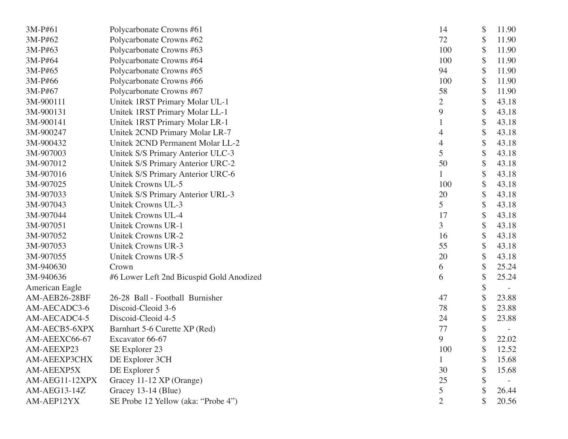| 3M-P#61        | Polycarbonate Crowns #61                 | 14             | \$<br>11.90 |
|----------------|------------------------------------------|----------------|-------------|
| 3M-P#62        | Polycarbonate Crowns #62                 | 72             | \$<br>11.90 |
| 3M-P#63        | Polycarbonate Crowns #63                 | 100            | \$<br>11.90 |
| 3M-P#64        | Polycarbonate Crowns #64                 | 100            | \$<br>11.90 |
| 3M-P#65        | Polycarbonate Crowns #65                 | 94             | \$<br>11.90 |
| 3M-P#66        | Polycarbonate Crowns #66                 | 100            | \$<br>11.90 |
| 3M-P#67        | Polycarbonate Crowns #67                 | 58             | \$<br>11.90 |
| 3M-900111      | Unitek 1RST Primary Molar UL-1           | $\overline{2}$ | \$<br>43.18 |
| 3M-900131      | Unitek 1RST Primary Molar LL-1           | 9              | \$<br>43.18 |
| 3M-900141      | Unitek 1RST Primary Molar LR-1           |                | \$<br>43.18 |
| 3M-900247      | Unitek 2CND Primary Molar LR-7           | 4              | \$<br>43.18 |
| 3M-900432      | Unitek 2CND Permanent Molar LL-2         | 4              | \$<br>43.18 |
| 3M-907003      | Unitek S/S Primary Anterior ULC-3        | 5              | \$<br>43.18 |
| 3M-907012      | Unitek S/S Primary Anterior URC-2        | 50             | \$<br>43.18 |
| 3M-907016      | Unitek S/S Primary Anterior URC-6        |                | \$<br>43.18 |
| 3M-907025      | Unitek Crowns UL-5                       | 100            | \$<br>43.18 |
| 3M-907033      | Unitek S/S Primary Anterior URL-3        | 20             | \$<br>43.18 |
| 3M-907043      | Unitek Crowns UL-3                       | 5              | \$<br>43.18 |
| 3M-907044      | Unitek Crowns UL-4                       | 17             | \$<br>43.18 |
| 3M-907051      | <b>Unitek Crowns UR-1</b>                | 3              | \$<br>43.18 |
| 3M-907052      | <b>Unitek Crowns UR-2</b>                | 16             | \$<br>43.18 |
| 3M-907053      | Unitek Crowns UR-3                       | 55             | \$<br>43.18 |
| 3M-907055      | Unitek Crowns UR-5                       | 20             | \$<br>43.18 |
| 3M-940630      | Crown                                    | 6              | \$<br>25.24 |
| 3M-940636      | #6 Lower Left 2nd Bicuspid Gold Anodized | 6              | \$<br>25.24 |
| American Eagle |                                          |                | \$          |
| AM-AEB26-28BF  | 26-28 Ball - Football Burnisher          | 47             | \$<br>23.88 |
| AM-AECADC3-6   | Discoid-Cleoid 3-6                       | 78             | \$<br>23.88 |
| AM-AECADC4-5   | Discoid-Cleoid 4-5                       | 24             | \$<br>23.88 |
| AM-AECB5-6XPX  | Barnhart 5-6 Curette XP (Red)            | 77             | \$          |
| AM-AEEXC66-67  | Excavator 66-67                          | 9              | \$<br>22.02 |
| AM-AEEXP23     | SE Explorer 23                           | 100            | \$<br>12.52 |
| AM-AEEXP3CHX   | DE Explorer 3CH                          |                | 15.68       |
| AM-AEEXP5X     | DE Explorer 5                            | 30             | 15.68       |
| AM-AEG11-12XPX | Gracey 11-12 XP (Orange)                 | 25             |             |
| AM-AEG13-14Z   | Gracey 13-14 (Blue)                      | 5              | 26.44       |
| AM-AEP12YX     | SE Probe 12 Yellow (aka: "Probe 4")      | $\overline{2}$ | 20.56       |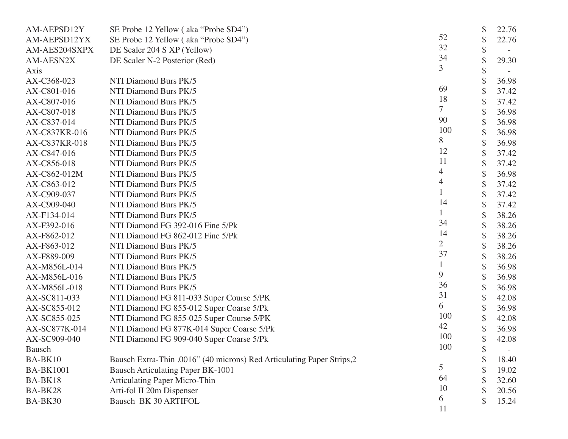| AM-AEPSD12Y      | SE Probe 12 Yellow (aka "Probe SD4")                                  |                | \$ | 22.76 |
|------------------|-----------------------------------------------------------------------|----------------|----|-------|
| AM-AEPSD12YX     | SE Probe 12 Yellow (aka "Probe SD4")                                  | 52             | \$ | 22.76 |
| AM-AES204SXPX    | DE Scaler 204 S XP (Yellow)                                           | 32             | \$ |       |
| AM-AESN2X        | DE Scaler N-2 Posterior (Red)                                         | 34             |    | 29.30 |
| Axis             |                                                                       | 3              | \$ |       |
| AX-C368-023      | NTI Diamond Burs PK/5                                                 |                |    | 36.98 |
| AX-C801-016      | NTI Diamond Burs PK/5                                                 | 69             |    | 37.42 |
| AX-C807-016      | NTI Diamond Burs PK/5                                                 | 18             | \$ | 37.42 |
| AX-C807-018      | NTI Diamond Burs PK/5                                                 | 7              |    | 36.98 |
| AX-C837-014      | NTI Diamond Burs PK/5                                                 | 90             |    | 36.98 |
| AX-C837KR-016    | NTI Diamond Burs PK/5                                                 | 100            | \$ | 36.98 |
| AX-C837KR-018    | NTI Diamond Burs PK/5                                                 | 8              | \$ | 36.98 |
| AX-C847-016      | NTI Diamond Burs PK/5                                                 | 12             | \$ | 37.42 |
| AX-C856-018      | NTI Diamond Burs PK/5                                                 | 11             |    | 37.42 |
| AX-C862-012M     | NTI Diamond Burs PK/5                                                 | 4              |    | 36.98 |
| AX-C863-012      | NTI Diamond Burs PK/5                                                 | 4              | \$ | 37.42 |
| AX-C909-037      | NTI Diamond Burs PK/5                                                 |                | \$ | 37.42 |
| AX-C909-040      | NTI Diamond Burs PK/5                                                 | 14             | \$ | 37.42 |
| AX-F134-014      | NTI Diamond Burs PK/5                                                 |                |    | 38.26 |
| AX-F392-016      | NTI Diamond FG 392-016 Fine 5/Pk                                      | 34             | \$ | 38.26 |
| AX-F862-012      | NTI Diamond FG 862-012 Fine 5/Pk                                      | 14             | \$ | 38.26 |
| AX-F863-012      | NTI Diamond Burs PK/5                                                 | $\overline{2}$ | \$ | 38.26 |
| AX-F889-009      | NTI Diamond Burs PK/5                                                 | 37             | \$ | 38.26 |
| AX-M856L-014     | NTI Diamond Burs PK/5                                                 |                |    | 36.98 |
| AX-M856L-016     | NTI Diamond Burs PK/5                                                 | 9              |    | 36.98 |
| AX-M856L-018     | NTI Diamond Burs PK/5                                                 | 36             | \$ | 36.98 |
| AX-SC811-033     | NTI Diamond FG 811-033 Super Course 5/PK                              | 31             | \$ | 42.08 |
| AX-SC855-012     | NTI Diamond FG 855-012 Super Coarse 5/Pk                              | 6              | \$ | 36.98 |
| AX-SC855-025     | NTI Diamond FG 855-025 Super Course 5/PK                              | 100            |    | 42.08 |
| AX-SC877K-014    | NTI Diamond FG 877K-014 Super Coarse 5/Pk                             | 42             |    | 36.98 |
| AX-SC909-040     | NTI Diamond FG 909-040 Super Coarse 5/Pk                              | 100            | \$ | 42.08 |
| Bausch           |                                                                       | 100            | J  |       |
| BA-BK10          | Bausch Extra-Thin .0016" (40 microns) Red Articulating Paper Strips,2 |                |    | 18.40 |
| <b>BA-BK1001</b> | <b>Bausch Articulating Paper BK-1001</b>                              | 5              |    | 19.02 |
| BA-BK18          | <b>Articulating Paper Micro-Thin</b>                                  | 64             |    | 32.60 |
| BA-BK28          | Arti-fol II 20m Dispenser                                             | 10             |    | 20.56 |
| BA-BK30          | Bausch BK 30 ARTIFOL                                                  | 6              |    | 15.24 |
|                  |                                                                       | 11             |    |       |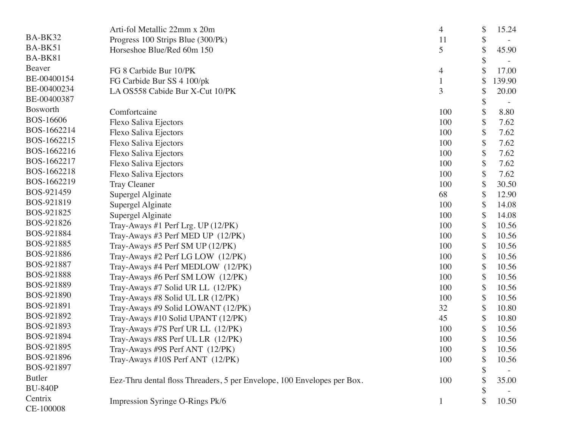|                  | Arti-fol Metallic 22mm x 20m                                            | 4              | \$<br>15.24  |
|------------------|-------------------------------------------------------------------------|----------------|--------------|
| BA-BK32          | Progress 100 Strips Blue (300/Pk)                                       | 11             | \$           |
| BA-BK51          | Horseshoe Blue/Red 60m 150                                              | 5              | \$<br>45.90  |
| BA-BK81          |                                                                         |                |              |
| Beaver           | FG 8 Carbide Bur 10/PK                                                  | $\overline{4}$ | 17.00        |
| BE-00400154      | FG Carbide Bur SS 4 100/pk                                              |                | \$<br>139.90 |
| BE-00400234      | LA OS558 Cabide Bur X-Cut 10/PK                                         | 3              | \$<br>20.00  |
| BE-00400387      |                                                                         |                | \$           |
| Bosworth         | Comfortcaine                                                            | 100            | 8.80         |
| <b>BOS-16606</b> | Flexo Saliva Ejectors                                                   | 100            | \$<br>7.62   |
| BOS-1662214      | Flexo Saliva Ejectors                                                   | 100            | \$<br>7.62   |
| BOS-1662215      | Flexo Saliva Ejectors                                                   | 100            | \$<br>7.62   |
| BOS-1662216      | Flexo Saliva Ejectors                                                   | 100            | \$<br>7.62   |
| BOS-1662217      | Flexo Saliva Ejectors                                                   | 100            | \$<br>7.62   |
| BOS-1662218      | Flexo Saliva Ejectors                                                   | 100            | \$<br>7.62   |
| BOS-1662219      | <b>Tray Cleaner</b>                                                     | 100            | \$<br>30.50  |
| BOS-921459       | Supergel Alginate                                                       | 68             | \$<br>12.90  |
| BOS-921819       | Supergel Alginate                                                       | 100            | \$<br>14.08  |
| BOS-921825       | Supergel Alginate                                                       | 100            | \$<br>14.08  |
| BOS-921826       | Tray-Aways #1 Perf Lrg. UP (12/PK)                                      | 100            | \$<br>10.56  |
| BOS-921884       | Tray-Aways #3 Perf MED UP (12/PK)                                       | 100            | \$<br>10.56  |
| BOS-921885       | Tray-Aways #5 Perf SM UP (12/PK)                                        | 100            | \$<br>10.56  |
| BOS-921886       | Tray-Aways #2 Perf LG LOW (12/PK)                                       | 100            | \$<br>10.56  |
| BOS-921887       | Tray-Aways #4 Perf MEDLOW (12/PK)                                       | 100            | \$<br>10.56  |
| BOS-921888       | Tray-Aways #6 Perf SM LOW (12/PK)                                       | 100            | \$<br>10.56  |
| BOS-921889       | Tray-Aways #7 Solid UR LL (12/PK)                                       | 100            | \$<br>10.56  |
| BOS-921890       | Tray-Aways #8 Solid UL LR (12/PK)                                       | 100            | \$<br>10.56  |
| BOS-921891       | Tray-Aways #9 Solid LOWANT (12/PK)                                      | 32             | \$<br>10.80  |
| BOS-921892       | Tray-Aways #10 Solid UPANT (12/PK)                                      | 45             | \$<br>10.80  |
| BOS-921893       | Tray-Aways #7S Perf UR LL (12/PK)                                       | 100            | \$<br>10.56  |
| BOS-921894       | Tray-Aways #8S Perf UL LR (12/PK)                                       | 100            | \$<br>10.56  |
| BOS-921895       | Tray-Aways #9S Perf ANT (12/PK)                                         | 100            | \$<br>10.56  |
| BOS-921896       | Tray-Aways #10S Perf ANT (12/PK)                                        | 100            | \$<br>10.56  |
| BOS-921897       |                                                                         |                |              |
| <b>Butler</b>    | Eez-Thru dental floss Threaders, 5 per Envelope, 100 Envelopes per Box. | 100            | 35.00        |
| <b>BU-840P</b>   |                                                                         |                | \$           |
| Centrix          | Impression Syringe O-Rings Pk/6                                         | $\mathbf{1}$   | \$<br>10.50  |
| CE-100008        |                                                                         |                |              |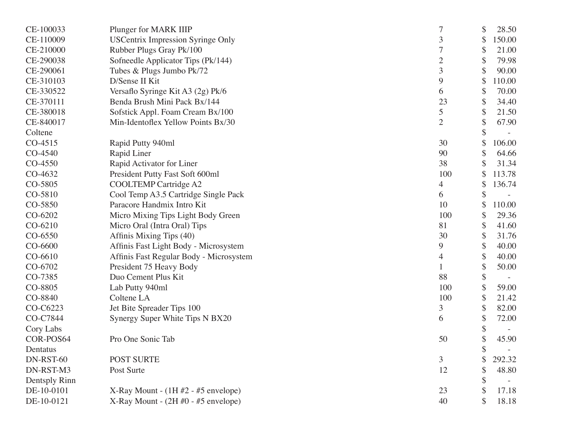| CE-100033     | Plunger for MARK IIIP                    |                | \$ | 28.50  |
|---------------|------------------------------------------|----------------|----|--------|
| CE-110009     | <b>USCentrix Impression Syringe Only</b> | 3              | \$ | 150.00 |
| CE-210000     | Rubber Plugs Gray Pk/100                 | 7              | \$ | 21.00  |
| CE-290038     | Sofneedle Applicator Tips (Pk/144)       | $\overline{2}$ | \$ | 79.98  |
| CE-290061     | Tubes & Plugs Jumbo Pk/72                | 3              | \$ | 90.00  |
| CE-310103     | D/Sense II Kit                           | 9              | \$ | 110.00 |
| CE-330522     | Versaflo Syringe Kit A3 (2g) Pk/6        | 6              | \$ | 70.00  |
| CE-370111     | Benda Brush Mini Pack Bx/144             | 23             | \$ | 34.40  |
| CE-380018     | Sofstick Appl. Foam Cream Bx/100         | 5              | \$ | 21.50  |
| CE-840017     | Min-Identoflex Yellow Points Bx/30       | 2              | \$ | 67.90  |
| Coltene       |                                          |                |    |        |
| CO-4515       | Rapid Putty 940ml                        | 30             | \$ | 106.00 |
| CO-4540       | Rapid Liner                              | 90             | \$ | 64.66  |
| CO-4550       | Rapid Activator for Liner                | 38             |    | 31.34  |
| CO-4632       | President Putty Fast Soft 600ml          | 100            |    | 113.78 |
| CO-5805       | <b>COOLTEMP Cartridge A2</b>             | 4              | S  | 136.74 |
| CO-5810       | Cool Temp A3.5 Cartridge Single Pack     | 6              |    |        |
| CO-5850       | Paracore Handmix Intro Kit               | 10             |    | 110.00 |
| CO-6202       | Micro Mixing Tips Light Body Green       | 100            | \$ | 29.36  |
| CO-6210       | Micro Oral (Intra Oral) Tips             | 81             | \$ | 41.60  |
| CO-6550       | Affinis Mixing Tips (40)                 | 30             | \$ | 31.76  |
| CO-6600       | Affinis Fast Light Body - Microsystem    | 9              | \$ | 40.00  |
| CO-6610       | Affinis Fast Regular Body - Microsystem  | 4              | \$ | 40.00  |
| CO-6702       | President 75 Heavy Body                  |                | \$ | 50.00  |
| CO-7385       | Duo Cement Plus Kit                      | 88             | \$ |        |
| CO-8805       | Lab Putty 940ml                          | 100            |    | 59.00  |
| CO-8840       | Coltene LA                               | 100            | \$ | 21.42  |
| CO-C6223      | Jet Bite Spreader Tips 100               | 3              | \$ | 82.00  |
| CO-C7844      | Synergy Super White Tips N BX20          | 6              | \$ | 72.00  |
| Cory Labs     |                                          |                | \$ |        |
| COR-POS64     | Pro One Sonic Tab                        | 50             | \$ | 45.90  |
| Dentatus      |                                          |                | \$ |        |
| DN-RST-60     | <b>POST SURTE</b>                        | 3              |    | 292.32 |
| DN-RST-M3     | Post Surte                               | 12             |    | 48.80  |
| Dentsply Rinn |                                          |                | \$ |        |
| DE-10-0101    | X-Ray Mount - $(1H #2 - #5$ envelope)    | 23             |    | 17.18  |
| DE-10-0121    | X-Ray Mount - $(2H \#0 - #5$ envelope)   | 40             |    | 18.18  |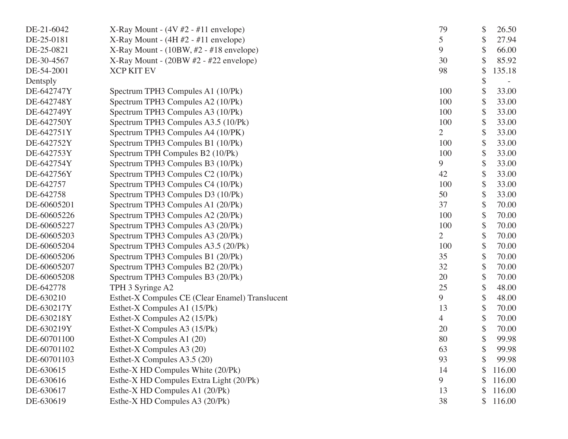| DE-21-6042  | X-Ray Mount - $(4V \#2 - \#11$ envelope)        | 79             | \$<br>26.50  |
|-------------|-------------------------------------------------|----------------|--------------|
| DE-25-0181  | $X-Ray Mount - (4H #2 - #11 envelope)$          | 5              | \$<br>27.94  |
| DE-25-0821  | $X-Ray Mount - (10BW, #2 - #18 envelope)$       | 9              | \$<br>66.00  |
| DE-30-4567  | $X-Ray Mount - (20BW #2 - #22 envelope)$        | 30             | 85.92        |
| DE-54-2001  | <b>XCP KIT EV</b>                               | 98             | \$<br>135.18 |
| Dentsply    |                                                 |                | \$           |
| DE-642747Y  | Spectrum TPH3 Compules A1 (10/Pk)               | 100            | \$<br>33.00  |
| DE-642748Y  | Spectrum TPH3 Compules A2 (10/Pk)               | 100            | \$<br>33.00  |
| DE-642749Y  | Spectrum TPH3 Compules A3 (10/Pk)               | 100            | \$<br>33.00  |
| DE-642750Y  | Spectrum TPH3 Compules A3.5 (10/Pk)             | 100            | \$<br>33.00  |
| DE-642751Y  | Spectrum TPH3 Compules A4 (10/PK)               | 2              | \$<br>33.00  |
| DE-642752Y  | Spectrum TPH3 Compules B1 (10/Pk)               | 100            | \$<br>33.00  |
| DE-642753Y  | Spectrum TPH Compules B2 (10/Pk)                | 100            | \$<br>33.00  |
| DE-642754Y  | Spectrum TPH3 Compules B3 (10/Pk)               | 9              | \$<br>33.00  |
| DE-642756Y  | Spectrum TPH3 Compules C2 (10/Pk)               | 42             | \$<br>33.00  |
| DE-642757   | Spectrum TPH3 Compules C4 (10/Pk)               | 100            | \$<br>33.00  |
| DE-642758   | Spectrum TPH3 Compules D3 (10/Pk)               | 50             | \$<br>33.00  |
| DE-60605201 | Spectrum TPH3 Compules A1 (20/Pk)               | 37             | \$<br>70.00  |
| DE-60605226 | Spectrum TPH3 Compules A2 (20/Pk)               | 100            | \$<br>70.00  |
| DE-60605227 | Spectrum TPH3 Compules A3 (20/Pk)               | 100            | \$<br>70.00  |
| DE-60605203 | Spectrum TPH3 Compules A3 (20/Pk)               | $\overline{2}$ | \$<br>70.00  |
| DE-60605204 | Spectrum TPH3 Compules A3.5 (20/Pk)             | 100            | \$<br>70.00  |
| DE-60605206 | Spectrum TPH3 Compules B1 (20/Pk)               | 35             | \$<br>70.00  |
| DE-60605207 | Spectrum TPH3 Compules B2 (20/Pk)               | 32             | \$<br>70.00  |
| DE-60605208 | Spectrum TPH3 Compules B3 (20/Pk)               | 20             | \$<br>70.00  |
| DE-642778   | TPH 3 Syringe A2                                | 25             | \$<br>48.00  |
| DE-630210   | Esthet-X Compules CE (Clear Enamel) Translucent | 9              | \$<br>48.00  |
| DE-630217Y  | Esthet-X Compules A1 (15/Pk)                    | 13             | \$<br>70.00  |
| DE-630218Y  | Esthet-X Compules A2 (15/Pk)                    | $\overline{4}$ | \$<br>70.00  |
| DE-630219Y  | Esthet-X Compules A3 (15/Pk)                    | 20             | \$<br>70.00  |
| DE-60701100 | Esthet-X Compules A1 (20)                       | 80             | \$<br>99.98  |
| DE-60701102 | Esthet-X Compules A3 (20)                       | 63             | \$<br>99.98  |
| DE-60701103 | Esthet-X Compules A3.5 (20)                     | 93             | 99.98        |
| DE-630615   | Esthe-X HD Compules White (20/Pk)               | 14             | \$<br>116.00 |
| DE-630616   | Esthe-X HD Compules Extra Light (20/Pk)         | 9              | \$<br>116.00 |
| DE-630617   | Esthe-X HD Compules A1 (20/Pk)                  | 13             | 116.00       |
| DE-630619   | Esthe-X HD Compules A3 (20/Pk)                  | 38             | \$<br>116.00 |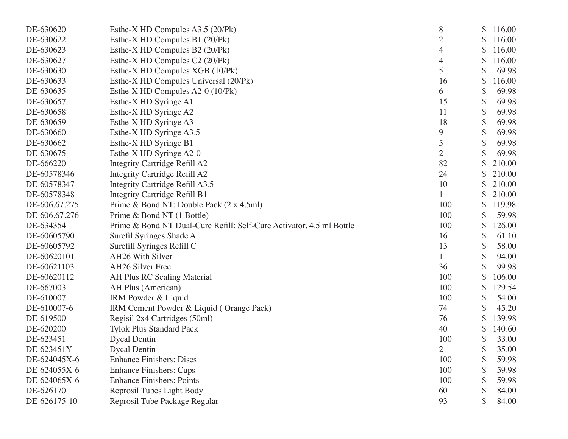| DE-630620     | Esthe-X HD Compules A3.5 (20/Pk)                                     | 8              | \$<br>116.00 |
|---------------|----------------------------------------------------------------------|----------------|--------------|
| DE-630622     | Esthe-X HD Compules B1 (20/Pk)                                       | $\overline{2}$ | \$<br>116.00 |
| DE-630623     | Esthe-X HD Compules B2 (20/Pk)                                       | 4              | \$<br>116.00 |
| DE-630627     | Esthe-X HD Compules C2 (20/Pk)                                       | 4              | \$<br>116.00 |
| DE-630630     | Esthe-X HD Compules XGB (10/Pk)                                      | 5              | \$<br>69.98  |
| DE-630633     | Esthe-X HD Compules Universal (20/Pk)                                | 16             | \$<br>116.00 |
| DE-630635     | Esthe-X HD Compules A2-0 (10/Pk)                                     | 6              | \$<br>69.98  |
| DE-630657     | Esthe-X HD Syringe A1                                                | 15             | \$<br>69.98  |
| DE-630658     | Esthe-X HD Syringe A2                                                | 11             | \$<br>69.98  |
| DE-630659     | Esthe-X HD Syringe A3                                                | 18             | \$<br>69.98  |
| DE-630660     | Esthe-X HD Syringe A3.5                                              | 9              | \$<br>69.98  |
| DE-630662     | Esthe-X HD Syringe B1                                                | 5              | \$<br>69.98  |
| DE-630675     | Esthe-X HD Syringe A2-0                                              | $\overline{2}$ | \$<br>69.98  |
| DE-666220     | Integrity Cartridge Refill A2                                        | 82             | \$<br>210.00 |
| DE-60578346   | Integrity Cartridge Refill A2                                        | 24             | \$<br>210.00 |
| DE-60578347   | Integrity Cartridge Refill A3.5                                      | 10             | 210.00       |
| DE-60578348   | <b>Integrity Cartridge Refill B1</b>                                 |                | \$<br>210.00 |
| DE-606.67.275 | Prime & Bond NT: Double Pack (2 x 4.5ml)                             | 100            | \$<br>119.98 |
| DE-606.67.276 | Prime & Bond NT (1 Bottle)                                           | 100            | \$<br>59.98  |
| DE-634354     | Prime & Bond NT Dual-Cure Refill: Self-Cure Activator, 4.5 ml Bottle | 100            | \$<br>126.00 |
| DE-60605790   | Surefil Syringes Shade A                                             | 16             | \$<br>61.10  |
| DE-60605792   | Surefill Syringes Refill C                                           | 13             | \$<br>58.00  |
| DE-60620101   | AH26 With Silver                                                     | 1              | \$<br>94.00  |
| DE-60621103   | AH26 Silver Free                                                     | 36             | \$<br>99.98  |
| DE-60620112   | AH Plus RC Sealing Material                                          | 100            | \$<br>106.00 |
| DE-667003     | AH Plus (American)                                                   | 100            | \$<br>129.54 |
| DE-610007     | IRM Powder & Liquid                                                  | 100            | \$<br>54.00  |
| DE-610007-6   | IRM Cement Powder & Liquid (Orange Pack)                             | 74             | \$<br>45.20  |
| DE-619500     | Regisil 2x4 Cartridges (50ml)                                        | 76             | \$<br>139.98 |
| DE-620200     | <b>Tylok Plus Standard Pack</b>                                      | 40             | \$<br>140.60 |
| DE-623451     | <b>Dycal Dentin</b>                                                  | 100            | \$<br>33.00  |
| DE-623451Y    | Dycal Dentin -                                                       | $\overline{2}$ | \$<br>35.00  |
| DE-624045X-6  | <b>Enhance Finishers: Discs</b>                                      | 100            | \$<br>59.98  |
| DE-624055X-6  | <b>Enhance Finishers: Cups</b>                                       | 100            | \$<br>59.98  |
| DE-624065X-6  | <b>Enhance Finishers: Points</b>                                     | 100            | \$<br>59.98  |
| DE-626170     | Reprosil Tubes Light Body                                            | 60             | 84.00        |
| DE-626175-10  | Reprosil Tube Package Regular                                        | 93             | 84.00        |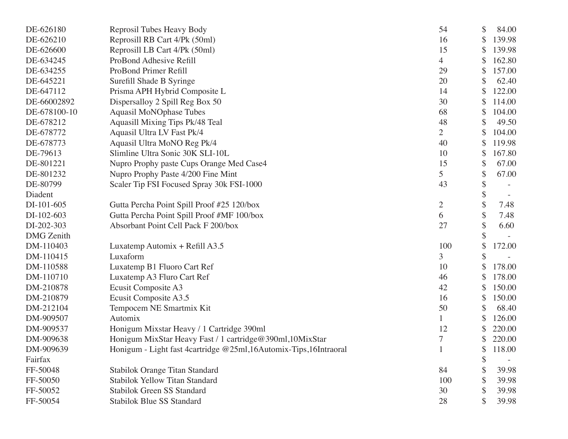| DE-626180         | Reprosil Tubes Heavy Body                                        | 54             | \$<br>84.00  |
|-------------------|------------------------------------------------------------------|----------------|--------------|
| DE-626210         | Reprosill RB Cart 4/Pk (50ml)                                    | 16             | \$<br>139.98 |
| DE-626600         | Reprosill LB Cart 4/Pk (50ml)                                    | 15             | \$<br>139.98 |
| DE-634245         | ProBond Adhesive Refill                                          | 4              | \$<br>162.80 |
| DE-634255         | ProBond Primer Refill                                            | 29             | \$<br>157.00 |
| DE-645221         | Surefill Shade B Syringe                                         | 20             | 62.40        |
| DE-647112         | Prisma APH Hybrid Composite L                                    | 14             | \$<br>122.00 |
| DE-66002892       | Dispersalloy 2 Spill Reg Box 50                                  | 30             | \$<br>114.00 |
| DE-678100-10      | <b>Aquasil MoNOphase Tubes</b>                                   | 68             | \$<br>104.00 |
| DE-678212         | Aquasill Mixing Tips Pk/48 Teal                                  | 48             | \$<br>49.50  |
| DE-678772         | Aquasil Ultra LV Fast Pk/4                                       | $\overline{2}$ | \$<br>104.00 |
| DE-678773         | Aquasil Ultra MoNO Reg Pk/4                                      | 40             | \$<br>119.98 |
| DE-79613          | Slimline Ultra Sonic 30K SLI-10L                                 | 10             | \$<br>167.80 |
| DE-801221         | Nupro Prophy paste Cups Orange Med Case4                         | 15             | \$<br>67.00  |
| DE-801232         | Nupro Prophy Paste 4/200 Fine Mint                               | 5              | \$<br>67.00  |
| DE-80799          | Scaler Tip FSI Focused Spray 30k FSI-1000                        | 43             | \$           |
| Diadent           |                                                                  |                | \$           |
| DI-101-605        | Gutta Percha Point Spill Proof #25 120/box                       | $\overline{2}$ | \$<br>7.48   |
| DI-102-603        | Gutta Percha Point Spill Proof #MF 100/box                       | 6              | \$<br>7.48   |
| DI-202-303        | Absorbant Point Cell Pack F 200/box                              | 27             | \$<br>6.60   |
| <b>DMG</b> Zenith |                                                                  |                |              |
| DM-110403         | Luxatemp Automix + Refill $A3.5$                                 | 100            | \$<br>172.00 |
| DM-110415         | Luxaform                                                         | 3              | \$           |
| DM-110588         | Luxatemp B1 Fluoro Cart Ref                                      | 10             | \$<br>178.00 |
| DM-110710         | Luxatemp A3 Fluro Cart Ref                                       | 46             | 178.00       |
| DM-210878         | Ecusit Composite A3                                              | 42             | 150.00       |
| DM-210879         | Ecusit Composite A3.5                                            | 16             | \$<br>150.00 |
| DM-212104         | Tempocem NE Smartmix Kit                                         | 50             | \$<br>68.40  |
| DM-909507         | Automix                                                          |                | \$<br>126.00 |
| DM-909537         | Honigum Mixstar Heavy / 1 Cartridge 390ml                        | 12             | 220.00       |
| DM-909638         | Honigum MixStar Heavy Fast / 1 cartridge@390ml,10MixStar         | 7              | \$<br>220.00 |
| DM-909639         | Honigum - Light fast 4cartridge @25ml,16Automix-Tips,16Intraoral |                | \$<br>118.00 |
| Fairfax           |                                                                  |                | \$           |
| FF-50048          | Stabilok Orange Titan Standard                                   | 84             | \$<br>39.98  |
| FF-50050          | <b>Stabilok Yellow Titan Standard</b>                            | 100            | \$<br>39.98  |
| FF-50052          | <b>Stabilok Green SS Standard</b>                                | 30             | \$<br>39.98  |
| FF-50054          | <b>Stabilok Blue SS Standard</b>                                 | 28             | \$<br>39.98  |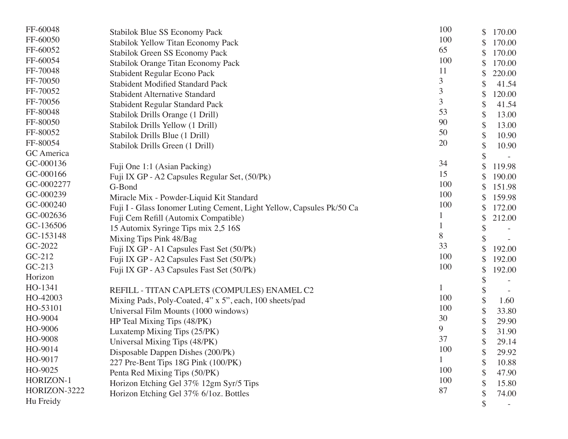| FF-60048     | Stabilok Blue SS Economy Pack                                         | 100 | \$<br>170.00 |
|--------------|-----------------------------------------------------------------------|-----|--------------|
| FF-60050     | Stabilok Yellow Titan Economy Pack                                    | 100 | 170.00       |
| FF-60052     | Stabilok Green SS Economy Pack                                        | 65  | 170.00       |
| FF-60054     | Stabilok Orange Titan Economy Pack                                    | 100 | \$<br>170.00 |
| FF-70048     | <b>Stabident Regular Econo Pack</b>                                   | 11  | 220.00       |
| FF-70050     | <b>Stabident Modified Standard Pack</b>                               | 3   | 41.54        |
| FF-70052     | <b>Stabident Alternative Standard</b>                                 | 3   | \$<br>120.00 |
| FF-70056     | <b>Stabident Regular Standard Pack</b>                                | 3   | \$<br>41.54  |
| FF-80048     | Stabilok Drills Orange (1 Drill)                                      | 53  | \$<br>13.00  |
| FF-80050     | Stabilok Drills Yellow (1 Drill)                                      | 90  | \$<br>13.00  |
| FF-80052     | Stabilok Drills Blue (1 Drill)                                        | 50  | \$<br>10.90  |
| FF-80054     | Stabilok Drills Green (1 Drill)                                       | 20  | \$<br>10.90  |
| GC America   |                                                                       |     |              |
| GC-000136    | Fuji One 1:1 (Asian Packing)                                          | 34  | 119.98       |
| GC-000166    | Fuji IX GP - A2 Capsules Regular Set, (50/Pk)                         | 15  | 190.00       |
| GC-0002277   | G-Bond                                                                | 100 | \$<br>151.98 |
| GC-000239    | Miracle Mix - Powder-Liquid Kit Standard                              | 100 | \$<br>159.98 |
| GC-000240    | Fuji I - Glass Ionomer Luting Cement, Light Yellow, Capsules Pk/50 Ca | 100 | 172.00       |
| GC-002636    | Fuji Cem Refill (Automix Compatible)                                  |     | \$<br>212.00 |
| GC-136506    | 15 Automix Syringe Tips mix 2,5 16S                                   |     |              |
| GC-153148    |                                                                       | 8   |              |
| GC-2022      | Mixing Tips Pink 48/Bag                                               | 33  |              |
| $GC-212$     | Fuji IX GP - A1 Capsules Fast Set (50/Pk)                             | 100 | 192.00       |
| $GC-213$     | Fuji IX GP - A2 Capsules Fast Set (50/Pk)                             | 100 | 192.00       |
| Horizon      | Fuji IX GP - A3 Capsules Fast Set (50/Pk)                             |     | \$<br>192.00 |
| HO-1341      |                                                                       |     |              |
| HO-42003     | REFILL - TITAN CAPLETS (COMPULES) ENAMEL C2                           | 100 |              |
| HO-53101     | Mixing Pads, Poly-Coated, 4" x 5", each, 100 sheets/pad               | 100 | \$<br>1.60   |
| HO-9004      | Universal Film Mounts (1000 windows)                                  | 30  | 33.80        |
| HO-9006      | HP Teal Mixing Tips (48/PK)                                           | 9   | \$<br>29.90  |
| HO-9008      | Luxatemp Mixing Tips (25/PK)                                          | 37  | 31.90        |
| HO-9014      | Universal Mixing Tips (48/PK)                                         | 100 | \$<br>29.14  |
| HO-9017      | Disposable Dappen Dishes (200/Pk)                                     |     | \$<br>29.92  |
| HO-9025      | 227 Pre-Bent Tips 18G Pink (100/PK)                                   | 100 | 10.88        |
| HORIZON-1    | Penta Red Mixing Tips (50/PK)                                         | 100 | \$<br>47.90  |
| HORIZON-3222 | Horizon Etching Gel 37% 12gm Syr/5 Tips                               | 87  | 15.80        |
|              | Horizon Etching Gel 37% 6/1oz. Bottles                                |     | 74.00        |
| Hu Freidy    |                                                                       |     |              |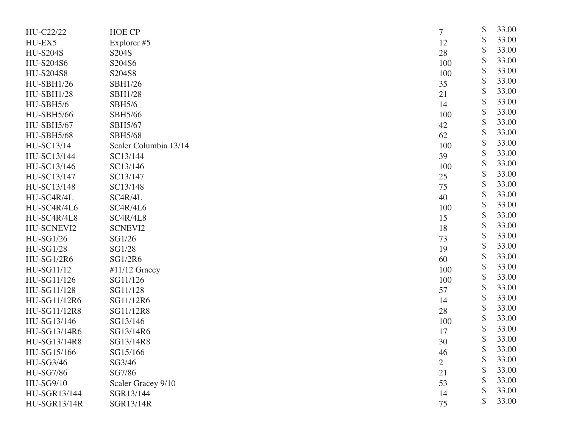| HU-C22/22           | <b>HOE CP</b>         | 7              | \$<br>33.00 |
|---------------------|-----------------------|----------------|-------------|
| HU-EX5              | Explorer #5           | 12             | \$<br>33.00 |
| <b>HU-S204S</b>     | S204S                 | 28             | \$<br>33.00 |
| <b>HU-S204S6</b>    | S204S6                | 100            | \$<br>33.00 |
| <b>HU-S204S8</b>    | S204S8                | 100            | \$<br>33.00 |
| <b>HU-SBH1/26</b>   | SBH1/26               | 35             | \$<br>33.00 |
| <b>HU-SBH1/28</b>   | <b>SBH1/28</b>        | 21             | \$<br>33.00 |
| HU-SBH5/6           | <b>SBH5/6</b>         | 14             | \$<br>33.00 |
| <b>HU-SBH5/66</b>   | SBH5/66               | 100            | \$<br>33.00 |
| <b>HU-SBH5/67</b>   | SBH5/67               | 42             | \$<br>33.00 |
| <b>HU-SBH5/68</b>   | <b>SBH5/68</b>        | 62             | \$<br>33.00 |
| HU-SC13/14          | Scaler Columbia 13/14 | 100            | \$<br>33.00 |
| HU-SC13/144         | SC13/144              | 39             | \$<br>33.00 |
| HU-SC13/146         | SC13/146              | 100            | \$<br>33.00 |
| HU-SC13/147         | SC13/147              | 25             | \$<br>33.00 |
| HU-SC13/148         | SC13/148              | 75             | \$<br>33.00 |
| HU-SC4R/4L          | SC4R/4L               | 40             | \$<br>33.00 |
| HU-SC4R/4L6         | SC4R/4L6              | 100            | \$<br>33.00 |
| HU-SC4R/4L8         | SC4R/4L8              | 15             | \$<br>33.00 |
| HU-SCNEVI2          | <b>SCNEVI2</b>        | 18             | \$<br>33.00 |
| <b>HU-SG1/26</b>    | SG1/26                | 73             | \$<br>33.00 |
| <b>HU-SG1/28</b>    | SG1/28                | 19             | \$<br>33.00 |
| <b>HU-SG1/2R6</b>   | SG1/2R6               | 60             | \$<br>33.00 |
| HU-SG11/12          | $#11/12$ Gracey       | 100            | \$<br>33.00 |
| HU-SG11/126         | SG11/126              | 100            | \$<br>33.00 |
| HU-SG11/128         | SG11/128              | 57             | \$<br>33.00 |
| HU-SG11/12R6        | SG11/12R6             | 14             | \$<br>33.00 |
| HU-SG11/12R8        | SG11/12R8             | 28             | \$<br>33.00 |
| HU-SG13/146         | SG13/146              | 100            | \$<br>33.00 |
| HU-SG13/14R6        | SG13/14R6             | 17             | \$<br>33.00 |
| HU-SG13/14R8        | SG13/14R8             | 30             | \$<br>33.00 |
| HU-SG15/166         | SG15/166              | 46             | \$<br>33.00 |
| <b>HU-SG3/46</b>    | SG3/46                | $\overline{2}$ | 33.00       |
| <b>HU-SG7/86</b>    | SG7/86                | 21             | \$<br>33.00 |
| <b>HU-SG9/10</b>    | Scaler Gracey 9/10    | 53             | \$<br>33.00 |
| HU-SGR13/144        | SGR13/144             | 14             | \$<br>33.00 |
| <b>HU-SGR13/14R</b> | SGR13/14R             | 75             | \$<br>33.00 |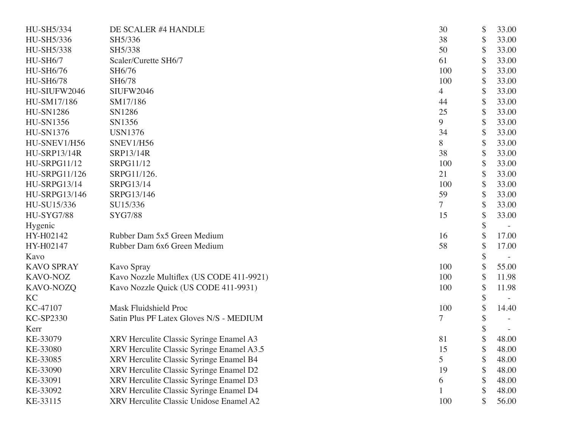| HU-SH5/334          | DE SCALER #4 HANDLE                       | 30             | \$                        | 33.00 |
|---------------------|-------------------------------------------|----------------|---------------------------|-------|
| HU-SH5/336          | SH5/336                                   | 38             | \$                        | 33.00 |
| HU-SH5/338          | SH5/338                                   | 50             | $\boldsymbol{\mathsf{S}}$ | 33.00 |
| HU-SH6/7            | Scaler/Curette SH6/7                      | 61             | \$                        | 33.00 |
| HU-SH6/76           | SH6/76                                    | 100            | \$                        | 33.00 |
| <b>HU-SH6/78</b>    | SH6/78                                    | 100            | \$                        | 33.00 |
| HU-SIUFW2046        | <b>SIUFW2046</b>                          | 4              | \$                        | 33.00 |
| HU-SM17/186         | SM17/186                                  | 44             | $\boldsymbol{\mathsf{S}}$ | 33.00 |
| <b>HU-SN1286</b>    | SN1286                                    | 25             | \$                        | 33.00 |
| <b>HU-SN1356</b>    | SN1356                                    | 9              | \$                        | 33.00 |
| <b>HU-SN1376</b>    | <b>USN1376</b>                            | 34             | \$                        | 33.00 |
| HU-SNEV1/H56        | SNEV1/H56                                 | 8              | \$                        | 33.00 |
| <b>HU-SRP13/14R</b> | SRP13/14R                                 | 38             | $\boldsymbol{\mathsf{S}}$ | 33.00 |
| <b>HU-SRPG11/12</b> | SRPG11/12                                 | 100            | \$                        | 33.00 |
| HU-SRPG11/126       | SRPG11/126.                               | 21             | \$                        | 33.00 |
| <b>HU-SRPG13/14</b> | SRPG13/14                                 | 100            | \$                        | 33.00 |
| HU-SRPG13/146       | SRPG13/146                                | 59             | \$                        | 33.00 |
| HU-SU15/336         | SU15/336                                  | $\overline{7}$ | $\boldsymbol{\mathsf{S}}$ | 33.00 |
| <b>HU-SYG7/88</b>   | <b>SYG7/88</b>                            | 15             | \$                        | 33.00 |
| Hygenic             |                                           |                | \$                        |       |
| HY-H02142           | Rubber Dam 5x5 Green Medium               | 16             |                           | 17.00 |
| HY-H02147           | Rubber Dam 6x6 Green Medium               | 58             | \$                        | 17.00 |
| Kavo                |                                           |                | \$                        |       |
| <b>KAVO SPRAY</b>   | Kavo Spray                                | 100            | \$                        | 55.00 |
| KAVO-NOZ            | Kavo Nozzle Multiflex (US CODE 411-9921)  | 100            | \$                        | 11.98 |
| KAVO-NOZQ           | Kavo Nozzle Quick (US CODE 411-9931)      | 100            | \$                        | 11.98 |
| KC                  |                                           |                | \$                        |       |
| KC-47107            | <b>Mask Fluidshield Proc</b>              | 100            |                           | 14.40 |
| <b>KC-SP2330</b>    | Satin Plus PF Latex Gloves N/S - MEDIUM   | 7              | \$                        |       |
| Kerr                |                                           |                |                           |       |
| KE-33079            | XRV Herculite Classic Syringe Enamel A3   | 81             | \$                        | 48.00 |
| KE-33080            | XRV Herculite Classic Syringe Enamel A3.5 | 15             | \$                        | 48.00 |
| KE-33085            | XRV Herculite Classic Syringe Enamel B4   | 5              |                           | 48.00 |
| KE-33090            | XRV Herculite Classic Syringe Enamel D2   | 19             |                           | 48.00 |
| KE-33091            | XRV Herculite Classic Syringe Enamel D3   | 6              | \$                        | 48.00 |
| KE-33092            | XRV Herculite Classic Syringe Enamel D4   |                | \$                        | 48.00 |
| KE-33115            | XRV Herculite Classic Unidose Enamel A2   | 100            | \$                        | 56.00 |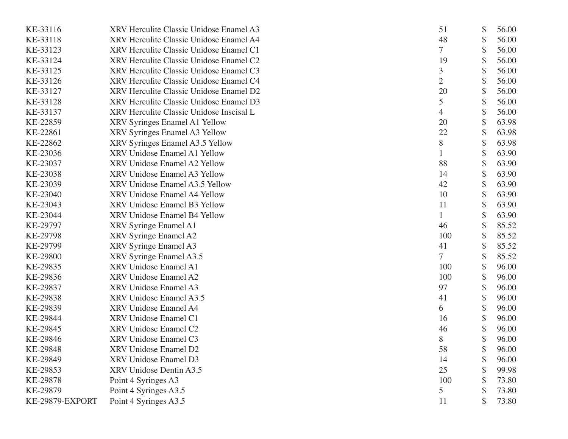| KE-33116        | XRV Herculite Classic Unidose Enamel A3  | 51  | \$ | 56.00 |
|-----------------|------------------------------------------|-----|----|-------|
| KE-33118        | XRV Herculite Classic Unidose Enamel A4  | 48  | \$ | 56.00 |
| KE-33123        | XRV Herculite Classic Unidose Enamel C1  | 7   | \$ | 56.00 |
| KE-33124        | XRV Herculite Classic Unidose Enamel C2  | 19  | \$ | 56.00 |
| KE-33125        | XRV Herculite Classic Unidose Enamel C3  | 3   | \$ | 56.00 |
| KE-33126        | XRV Herculite Classic Unidose Enamel C4  | 2   |    | 56.00 |
| KE-33127        | XRV Herculite Classic Unidose Enamel D2  | 20  | \$ | 56.00 |
| KE-33128        | XRV Herculite Classic Unidose Enamel D3  | 5   | \$ | 56.00 |
| KE-33137        | XRV Herculite Classic Unidose Inscisal L | 4   | \$ | 56.00 |
| KE-22859        | XRV Syringes Enamel A1 Yellow            | 20  | \$ | 63.98 |
| KE-22861        | XRV Syringes Enamel A3 Yellow            | 22  | \$ | 63.98 |
| KE-22862        | XRV Syringes Enamel A3.5 Yellow          | 8   | \$ | 63.98 |
| KE-23036        | XRV Unidose Enamel A1 Yellow             |     | \$ | 63.90 |
| KE-23037        | XRV Unidose Enamel A2 Yellow             | 88  | \$ | 63.90 |
| KE-23038        | XRV Unidose Enamel A3 Yellow             | 14  | \$ | 63.90 |
| KE-23039        | XRV Unidose Enamel A3.5 Yellow           | 42  | \$ | 63.90 |
| KE-23040        | XRV Unidose Enamel A4 Yellow             | 10  | \$ | 63.90 |
| KE-23043        | XRV Unidose Enamel B3 Yellow             | 11  | \$ | 63.90 |
| KE-23044        | XRV Unidose Enamel B4 Yellow             |     | \$ | 63.90 |
| KE-29797        | XRV Syringe Enamel A1                    | 46  | \$ | 85.52 |
| KE-29798        | XRV Syringe Enamel A2                    | 100 | \$ | 85.52 |
| KE-29799        | XRV Syringe Enamel A3                    | 41  | \$ | 85.52 |
| KE-29800        | XRV Syringe Enamel A3.5                  | 7   | \$ | 85.52 |
| KE-29835        | XRV Unidose Enamel A1                    | 100 | \$ | 96.00 |
| KE-29836        | XRV Unidose Enamel A2                    | 100 | \$ | 96.00 |
| KE-29837        | XRV Unidose Enamel A3                    | 97  | \$ | 96.00 |
| KE-29838        | XRV Unidose Enamel A3.5                  | 41  | \$ | 96.00 |
| KE-29839        | XRV Unidose Enamel A4                    | 6   | \$ | 96.00 |
| KE-29844        | XRV Unidose Enamel C1                    | 16  | \$ | 96.00 |
| KE-29845        | XRV Unidose Enamel C2                    | 46  | \$ | 96.00 |
| KE-29846        | XRV Unidose Enamel C3                    | 8   | \$ | 96.00 |
| KE-29848        | XRV Unidose Enamel D2                    | 58  | \$ | 96.00 |
| KE-29849        | XRV Unidose Enamel D3                    | 14  |    | 96.00 |
| KE-29853        | XRV Unidose Dentin A3.5                  | 25  | S  | 99.98 |
| KE-29878        | Point 4 Syringes A3                      | 100 | \$ | 73.80 |
| KE-29879        | Point 4 Syringes A3.5                    | 5   | \$ | 73.80 |
| KE-29879-EXPORT | Point 4 Syringes A3.5                    | 11  |    | 73.80 |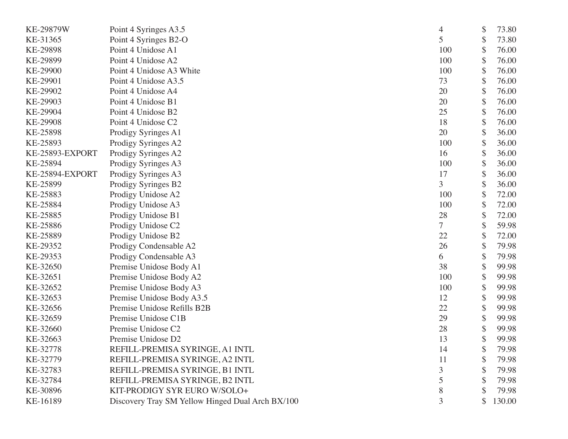| KE-29879W       | Point 4 Syringes A3.5                            | 4              | \$<br>73.80  |
|-----------------|--------------------------------------------------|----------------|--------------|
| KE-31365        | Point 4 Syringes B2-O                            | 5              | \$<br>73.80  |
| KE-29898        | Point 4 Unidose A1                               | 100            | \$<br>76.00  |
| KE-29899        | Point 4 Unidose A2                               | 100            | \$<br>76.00  |
| KE-29900        | Point 4 Unidose A3 White                         | 100            | \$<br>76.00  |
| KE-29901        | Point 4 Unidose A3.5                             | 73             | \$<br>76.00  |
| KE-29902        | Point 4 Unidose A4                               | 20             | \$<br>76.00  |
| KE-29903        | Point 4 Unidose B1                               | 20             | \$<br>76.00  |
| KE-29904        | Point 4 Unidose B2                               | 25             | \$<br>76.00  |
| KE-29908        | Point 4 Unidose C2                               | 18             | \$<br>76.00  |
| KE-25898        | Prodigy Syringes A1                              | 20             | \$<br>36.00  |
| KE-25893        | Prodigy Syringes A2                              | 100            | \$<br>36.00  |
| KE-25893-EXPORT | Prodigy Syringes A2                              | 16             | \$<br>36.00  |
| KE-25894        | Prodigy Syringes A3                              | 100            | \$<br>36.00  |
| KE-25894-EXPORT | Prodigy Syringes A3                              | 17             | \$<br>36.00  |
| KE-25899        | Prodigy Syringes B2                              | $\overline{3}$ | \$<br>36.00  |
| KE-25883        | Prodigy Unidose A2                               | 100            | \$<br>72.00  |
| KE-25884        | Prodigy Unidose A3                               | 100            | \$<br>72.00  |
| KE-25885        | Prodigy Unidose B1                               | 28             | \$<br>72.00  |
| KE-25886        | Prodigy Unidose C2                               | $\overline{7}$ | \$<br>59.98  |
| KE-25889        | Prodigy Unidose B2                               | 22             | \$<br>72.00  |
| KE-29352        | Prodigy Condensable A2                           | 26             | \$<br>79.98  |
| KE-29353        | Prodigy Condensable A3                           | 6              | \$<br>79.98  |
| KE-32650        | Premise Unidose Body A1                          | 38             | \$<br>99.98  |
| KE-32651        | Premise Unidose Body A2                          | 100            | \$<br>99.98  |
| KE-32652        | Premise Unidose Body A3                          | 100            | \$<br>99.98  |
| KE-32653        | Premise Unidose Body A3.5                        | 12             | \$<br>99.98  |
| KE-32656        | Premise Unidose Refills B2B                      | 22             | \$<br>99.98  |
| KE-32659        | Premise Unidose C1B                              | 29             | \$<br>99.98  |
| KE-32660        | Premise Unidose C2                               | 28             | \$<br>99.98  |
| KE-32663        | Premise Unidose D2                               | 13             | \$<br>99.98  |
| KE-32778        | REFILL-PREMISA SYRINGE, A1 INTL                  | 14             | \$<br>79.98  |
| KE-32779        | REFILL-PREMISA SYRINGE, A2 INTL                  | 11             | \$<br>79.98  |
| KE-32783        | REFILL-PREMISA SYRINGE, B1 INTL                  | 3              | \$<br>79.98  |
| KE-32784        | REFILL-PREMISA SYRINGE, B2 INTL                  | 5              | \$<br>79.98  |
| KE-30896        | KIT-PRODIGY SYR EURO W/SOLO+                     | 8              | \$<br>79.98  |
| KE-16189        | Discovery Tray SM Yellow Hinged Dual Arch BX/100 | 3              | \$<br>130.00 |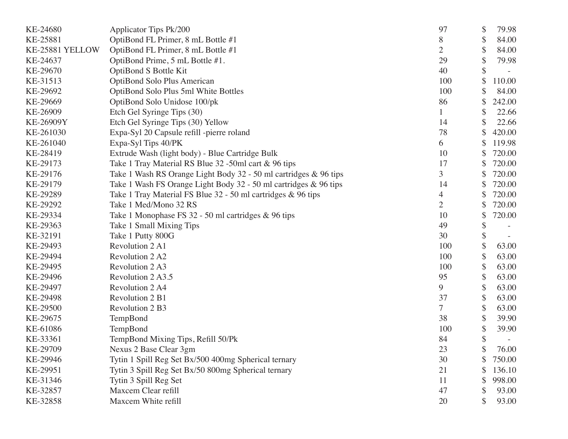| KE-24680        | Applicator Tips Pk/200                                           | 97             | \$<br>79.98  |
|-----------------|------------------------------------------------------------------|----------------|--------------|
| KE-25881        | OptiBond FL Primer, 8 mL Bottle #1                               | 8              | \$<br>84.00  |
| KE-25881 YELLOW | OptiBond FL Primer, 8 mL Bottle #1                               | 2              | \$<br>84.00  |
| KE-24637        | OptiBond Prime, 5 mL Bottle #1.                                  | 29             | \$<br>79.98  |
| KE-29670        | OptiBond S Bottle Kit                                            | 40             | \$           |
| KE-31513        | OptiBond Solo Plus American                                      | 100            | \$<br>110.00 |
| KE-29692        | OptiBond Solo Plus 5ml White Bottles                             | 100            | 84.00        |
| KE-29669        | OptiBond Solo Unidose 100/pk                                     | 86             | \$<br>242.00 |
| KE-26909        | Etch Gel Syringe Tips (30)                                       |                | \$<br>22.66  |
| KE-26909Y       | Etch Gel Syringe Tips (30) Yellow                                | 14             | 22.66        |
| KE-261030       | Expa-Syl 20 Capsule refill -pierre roland                        | 78             | 420.00       |
| KE-261040       | Expa-Syl Tips 40/PK                                              | 6              | \$<br>119.98 |
| KE-28419        | Extrude Wash (light body) - Blue Cartridge Bulk                  | 10             | 720.00       |
| KE-29173        | Take 1 Tray Material RS Blue 32 -50ml cart & 96 tips             | 17             | 720.00       |
| KE-29176        | Take 1 Wash RS Orange Light Body 32 - 50 ml cartridges & 96 tips | 3              | 720.00       |
| KE-29179        | Take 1 Wash FS Orange Light Body 32 - 50 ml cartridges & 96 tips | 14             | 720.00       |
| KE-29289        | Take 1 Tray Material FS Blue 32 - 50 ml cartridges & 96 tips     | 4              | \$<br>720.00 |
| KE-29292        | Take 1 Med/Mono 32 RS                                            | $\overline{2}$ | \$<br>720.00 |
| KE-29334        | Take 1 Monophase FS 32 - 50 ml cartridges & 96 tips              | 10             | \$<br>720.00 |
| KE-29363        | Take 1 Small Mixing Tips                                         | 49             | \$           |
| KE-32191        | Take 1 Putty 800G                                                | 30             | \$           |
| KE-29493        | Revolution 2 A1                                                  | 100            | \$<br>63.00  |
| KE-29494        | Revolution 2 A2                                                  | 100            | \$<br>63.00  |
| KE-29495        | Revolution 2A3                                                   | 100            | \$<br>63.00  |
| KE-29496        | Revolution 2A3.5                                                 | 95             | \$<br>63.00  |
| KE-29497        | Revolution 2 A4                                                  | 9              | \$<br>63.00  |
| KE-29498        | Revolution 2 B1                                                  | 37             | \$<br>63.00  |
| KE-29500        | Revolution 2 B3                                                  | 7              | \$<br>63.00  |
| KE-29675        | TempBond                                                         | 38             | \$<br>39.90  |
| KE-61086        | TempBond                                                         | 100            | \$<br>39.90  |
| KE-33361        | TempBond Mixing Tips, Refill 50/Pk                               | 84             | \$           |
| KE-29709        | Nexus 2 Base Clear 3gm                                           | 23             | \$<br>76.00  |
| KE-29946        | Tytin 1 Spill Reg Set Bx/500 400mg Spherical ternary             | 30             | 750.00       |
| KE-29951        | Tytin 3 Spill Reg Set Bx/50 800mg Spherical ternary              | 21             | 136.10       |
| KE-31346        | Tytin 3 Spill Reg Set                                            | 11             | \$<br>998.00 |
| KE-32857        | Maxcem Clear refill                                              | 47             | \$<br>93.00  |
| KE-32858        | Maxcem White refill                                              | 20             | 93.00        |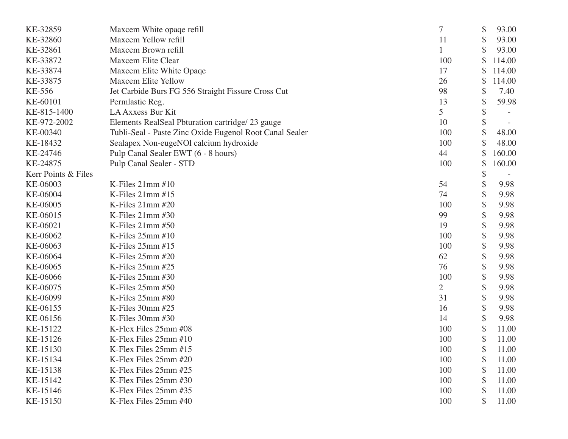| KE-32859            | Maxcem White opaqe refill                               | 7              | \$<br>93.00  |
|---------------------|---------------------------------------------------------|----------------|--------------|
| KE-32860            | Maxcem Yellow refill                                    | 11             | \$<br>93.00  |
| KE-32861            | Maxcem Brown refill                                     |                | \$<br>93.00  |
| KE-33872            | Maxcem Elite Clear                                      | 100            | \$<br>114.00 |
| KE-33874            | Maxcem Elite White Opaqe                                | 17             | 114.00       |
| KE-33875            | <b>Maxcem Elite Yellow</b>                              | 26             | \$<br>114.00 |
| KE-556              | Jet Carbide Burs FG 556 Straight Fissure Cross Cut      | 98             | \$<br>7.40   |
| KE-60101            | Permlastic Reg.                                         | 13             | \$<br>59.98  |
| KE-815-1400         | LA Axxess Bur Kit                                       | 5              | \$           |
| KE-972-2002         | Elements RealSeal Pbturation cartridge/23 gauge         | 10             | \$           |
| KE-00340            | Tubli-Seal - Paste Zinc Oxide Eugenol Root Canal Sealer | 100            | \$<br>48.00  |
| KE-18432            | Sealapex Non-eugeNOl calcium hydroxide                  | 100            | \$<br>48.00  |
| KE-24746            | Pulp Canal Sealer EWT (6 - 8 hours)                     | 44             | \$<br>160.00 |
| KE-24875            | Pulp Canal Sealer - STD                                 | 100            | \$<br>160.00 |
| Kerr Points & Files |                                                         |                | \$           |
| KE-06003            | K-Files $21$ mm $#10$                                   | 54             | \$<br>9.98   |
| KE-06004            | K-Files 21mm #15                                        | 74             | \$<br>9.98   |
| KE-06005            | K-Files 21mm #20                                        | 100            | \$<br>9.98   |
| KE-06015            | K-Files 21mm #30                                        | 99             | \$<br>9.98   |
| KE-06021            | K-Files $21$ mm $#50$                                   | 19             | \$<br>9.98   |
| KE-06062            | K-Files 25mm #10                                        | 100            | \$<br>9.98   |
| KE-06063            | K-Files $25$ mm $#15$                                   | 100            | \$<br>9.98   |
| KE-06064            | K-Files 25mm #20                                        | 62             | \$<br>9.98   |
| KE-06065            | K-Files 25mm #25                                        | 76             | \$<br>9.98   |
| KE-06066            | K-Files $25$ mm $#30$                                   | 100            | \$<br>9.98   |
| KE-06075            | K-Files 25mm #50                                        | $\overline{2}$ | \$<br>9.98   |
| KE-06099            | K-Files 25mm #80                                        | 31             | \$<br>9.98   |
| KE-06155            | K-Files 30mm #25                                        | 16             | \$<br>9.98   |
| KE-06156            | K-Files 30mm #30                                        | 14             | \$<br>9.98   |
| KE-15122            | K-Flex Files 25mm #08                                   | 100            | \$<br>11.00  |
| KE-15126            | K-Flex Files 25mm #10                                   | 100            | \$<br>11.00  |
| KE-15130            | K-Flex Files 25mm #15                                   | 100            | \$<br>11.00  |
| KE-15134            | K-Flex Files 25mm #20                                   | 100            | \$<br>11.00  |
| KE-15138            | K-Flex Files 25mm #25                                   | 100            | \$<br>11.00  |
| KE-15142            | K-Flex Files 25mm #30                                   | 100            | \$<br>11.00  |
| KE-15146            | K-Flex Files 25mm #35                                   | 100            | \$<br>11.00  |
| KE-15150            | K-Flex Files 25mm #40                                   | 100            | \$<br>11.00  |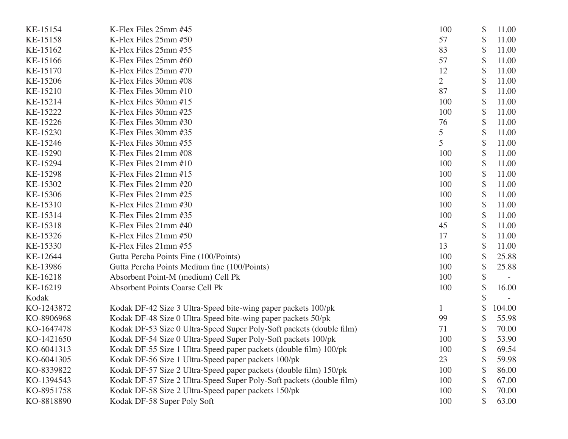| KE-15154   | K-Flex Files 25mm #45                                                | 100            | \$<br>11.00 |
|------------|----------------------------------------------------------------------|----------------|-------------|
| KE-15158   | K-Flex Files 25mm #50                                                | 57             | \$<br>11.00 |
| KE-15162   | K-Flex Files 25mm #55                                                | 83             | \$<br>11.00 |
| KE-15166   | K-Flex Files 25mm #60                                                | 57             | \$<br>11.00 |
| KE-15170   | K-Flex Files 25mm #70                                                | 12             | 11.00       |
| KE-15206   | K-Flex Files 30mm #08                                                | $\overline{2}$ | \$<br>11.00 |
| KE-15210   | K-Flex Files 30mm #10                                                | 87             | \$<br>11.00 |
| KE-15214   | K-Flex Files 30mm #15                                                | 100            | \$<br>11.00 |
| KE-15222   | K-Flex Files 30mm #25                                                | 100            | \$<br>11.00 |
| KE-15226   | K-Flex Files 30mm #30                                                | 76             | 11.00       |
| KE-15230   | K-Flex Files 30mm #35                                                | 5              | \$<br>11.00 |
| KE-15246   | K-Flex Files 30mm #55                                                | 5              | \$<br>11.00 |
| KE-15290   | K-Flex Files 21mm #08                                                | 100            | 11.00       |
| KE-15294   | K-Flex Files 21mm #10                                                | 100            | \$<br>11.00 |
| KE-15298   | K-Flex Files 21mm #15                                                | 100            | 11.00       |
| KE-15302   | K-Flex Files 21mm #20                                                | 100            | \$<br>11.00 |
| KE-15306   | K-Flex Files 21mm #25                                                | 100            | 11.00       |
| KE-15310   | K-Flex Files 21mm #30                                                | 100            | 11.00       |
| KE-15314   | K-Flex Files 21mm #35                                                | 100            | \$<br>11.00 |
| KE-15318   | K-Flex Files 21mm #40                                                | 45             | 11.00       |
| KE-15326   | K-Flex Files 21mm #50                                                | 17             | \$<br>11.00 |
| KE-15330   | K-Flex Files 21mm #55                                                | 13             | \$<br>11.00 |
| KE-12644   | Gutta Percha Points Fine (100/Points)                                | 100            | \$<br>25.88 |
| KE-13986   | Gutta Percha Points Medium fine (100/Points)                         | 100            | \$<br>25.88 |
| KE-16218   | Absorbent Point-M (medium) Cell Pk                                   | 100            | \$          |
| KE-16219   | <b>Absorbent Points Coarse Cell Pk</b>                               | 100            | \$<br>16.00 |
| Kodak      |                                                                      |                |             |
| KO-1243872 | Kodak DF-42 Size 3 Ultra-Speed bite-wing paper packets 100/pk        |                | 104.00      |
| KO-8906968 | Kodak DF-48 Size 0 Ultra-Speed bite-wing paper packets 50/pk         | 99             | 55.98       |
| KO-1647478 | Kodak DF-53 Size 0 Ultra-Speed Super Poly-Soft packets (double film) | 71             | 70.00       |
| KO-1421650 | Kodak DF-54 Size 0 Ultra-Speed Super Poly-Soft packets 100/pk        | 100            | \$<br>53.90 |
| KO-6041313 | Kodak DF-55 Size 1 Ultra-Speed paper packets (double film) 100/pk    | 100            | \$<br>69.54 |
| KO-6041305 | Kodak DF-56 Size 1 Ultra-Speed paper packets 100/pk                  | 23             | \$<br>59.98 |
| KO-8339822 | Kodak DF-57 Size 2 Ultra-Speed paper packets (double film) 150/pk    | 100            | 86.00       |
| KO-1394543 | Kodak DF-57 Size 2 Ultra-Speed Super Poly-Soft packets (double film) | 100            | 67.00       |
| KO-8951758 | Kodak DF-58 Size 2 Ultra-Speed paper packets 150/pk                  | 100            | \$<br>70.00 |
| KO-8818890 | Kodak DF-58 Super Poly Soft                                          | 100            | \$<br>63.00 |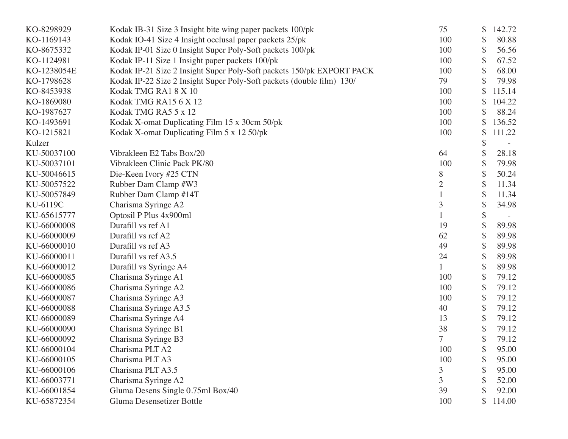| KO-8298929  | Kodak IB-31 Size 3 Insight bite wing paper packets 100/pk             | 75             | \$<br>142.72 |
|-------------|-----------------------------------------------------------------------|----------------|--------------|
| KO-1169143  | Kodak IO-41 Size 4 Insight occlusal paper packets 25/pk               | 100            | \$<br>80.88  |
| KO-8675332  | Kodak IP-01 Size 0 Insight Super Poly-Soft packets 100/pk             | 100            | \$<br>56.56  |
| KO-1124981  | Kodak IP-11 Size 1 Insight paper packets 100/pk                       | 100            | \$<br>67.52  |
| KO-1238054E | Kodak IP-21 Size 2 Insight Super Poly-Soft packets 150/pk EXPORT PACK | 100            | \$<br>68.00  |
| KO-1798628  | Kodak IP-22 Size 2 Insight Super Poly-Soft packets (double film) 130/ | 79             | 79.98        |
| KO-8453938  | Kodak TMG RA18X10                                                     | 100            | \$<br>115.14 |
| KO-1869080  | Kodak TMG RA15 6 X 12                                                 | 100            | \$<br>104.22 |
| KO-1987627  | Kodak TMG RA5 5 x 12                                                  | 100            | \$<br>88.24  |
| KO-1493691  | Kodak X-omat Duplicating Film 15 x 30cm 50/pk                         | 100            | \$<br>136.52 |
| KO-1215821  | Kodak X-omat Duplicating Film 5 x 12 50/pk                            | 100            | \$<br>111.22 |
| Kulzer      |                                                                       |                | \$           |
| KU-50037100 | Vibrakleen E2 Tabs Box/20                                             | 64             | \$<br>28.18  |
| KU-50037101 | Vibrakleen Clinic Pack PK/80                                          | 100            | \$<br>79.98  |
| KU-50046615 | Die-Keen Ivory #25 CTN                                                | 8              | \$<br>50.24  |
| KU-50057522 | Rubber Dam Clamp #W3                                                  | $\overline{2}$ | \$<br>11.34  |
| KU-50057849 | Rubber Dam Clamp #14T                                                 |                | \$<br>11.34  |
| KU-6119C    | Charisma Syringe A2                                                   | 3              | \$<br>34.98  |
| KU-65615777 | Optosil P Plus 4x900ml                                                |                | \$           |
| KU-66000008 | Durafill vs ref A1                                                    | 19             | \$<br>89.98  |
| KU-66000009 | Durafill vs ref A2                                                    | 62             | \$<br>89.98  |
| KU-66000010 | Durafill vs ref A3                                                    | 49             | \$<br>89.98  |
| KU-66000011 | Durafill vs ref A3.5                                                  | 24             | \$<br>89.98  |
| KU-66000012 | Durafill vs Syringe A4                                                | 1              | \$<br>89.98  |
| KU-66000085 | Charisma Syringe A1                                                   | 100            | \$<br>79.12  |
| KU-66000086 | Charisma Syringe A2                                                   | 100            | \$<br>79.12  |
| KU-66000087 | Charisma Syringe A3                                                   | 100            | \$<br>79.12  |
| KU-66000088 | Charisma Syringe A3.5                                                 | 40             | \$<br>79.12  |
| KU-66000089 | Charisma Syringe A4                                                   | 13             | \$<br>79.12  |
| KU-66000090 | Charisma Syringe B1                                                   | 38             | \$<br>79.12  |
| KU-66000092 | Charisma Syringe B3                                                   | $\overline{7}$ | \$<br>79.12  |
| KU-66000104 | Charisma PLT A2                                                       | 100            | \$<br>95.00  |
| KU-66000105 | Charisma PLT A3                                                       | 100            | 95.00        |
| KU-66000106 | Charisma PLT A3.5                                                     | 3              | \$<br>95.00  |
| KU-66003771 | Charisma Syringe A2                                                   | 3              | 52.00        |
| KU-66001854 | Gluma Desens Single 0.75ml Box/40                                     | 39             | 92.00        |
| KU-65872354 | Gluma Desensetizer Bottle                                             | 100            | \$<br>114.00 |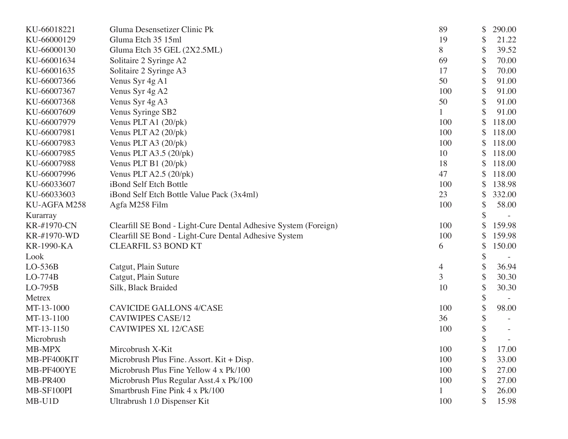| KU-66018221       | Gluma Desensetizer Clinic Pk                                    | 89             | \$<br>290.00 |
|-------------------|-----------------------------------------------------------------|----------------|--------------|
| KU-66000129       | Gluma Etch 35 15ml                                              | 19             | \$<br>21.22  |
| KU-66000130       | Gluma Etch 35 GEL (2X2.5ML)                                     | 8              | \$<br>39.52  |
| KU-66001634       | Solitaire 2 Syringe A2                                          | 69             | \$<br>70.00  |
| KU-66001635       | Solitaire 2 Syringe A3                                          | 17             | \$<br>70.00  |
| KU-66007366       | Venus Syr 4g A1                                                 | 50             | \$<br>91.00  |
| KU-66007367       | Venus Syr 4g A2                                                 | 100            | \$<br>91.00  |
| KU-66007368       | Venus Syr 4g A3                                                 | 50             | \$<br>91.00  |
| KU-66007609       | Venus Syringe SB2                                               |                | \$<br>91.00  |
| KU-66007979       | Venus PLT A1 (20/pk)                                            | 100            | 118.00       |
| KU-66007981       | Venus PLT A2 (20/pk)                                            | 100            | 118.00       |
| KU-66007983       | Venus PLT A3 (20/pk)                                            | 100            | \$<br>118.00 |
| KU-66007985       | Venus PLT A3.5 $(20/\text{pk})$                                 | 10             | \$<br>118.00 |
| KU-66007988       | Venus PLT B1 $(20/pk)$                                          | 18             | \$<br>118.00 |
| KU-66007996       | Venus PLT A2.5 $(20/\text{pk})$                                 | 47             | \$<br>118.00 |
| KU-66033607       | iBond Self Etch Bottle                                          | 100            | 138.98       |
| KU-66033603       | iBond Self Etch Bottle Value Pack (3x4ml)                       | 23             | \$<br>332.00 |
| KU-AGFA M258      | Agfa M258 Film                                                  | 100            | \$<br>58.00  |
| Kurarray          |                                                                 |                | \$           |
| KR-#1970-CN       | Clearfill SE Bond - Light-Cure Dental Adhesive System (Foreign) | 100            | 159.98       |
| KR-#1970-WD       | Clearfill SE Bond - Light-Cure Dental Adhesive System           | 100            | 159.98       |
| <b>KR-1990-KA</b> | <b>CLEARFIL S3 BOND KT</b>                                      | 6              | \$<br>150.00 |
| Look              |                                                                 |                | \$           |
| $LO-536B$         | Catgut, Plain Suture                                            | 4              | \$<br>36.94  |
| $LO-774B$         | Catgut, Plain Suture                                            | $\overline{3}$ | \$<br>30.30  |
| $LO-795B$         | Silk, Black Braided                                             | 10             | \$<br>30.30  |
| Metrex            |                                                                 |                | \$           |
| MT-13-1000        | <b>CAVICIDE GALLONS 4/CASE</b>                                  | 100            | \$<br>98.00  |
| MT-13-1100        | <b>CAVIWIPES CASE/12</b>                                        | 36             | \$           |
| MT-13-1150        | <b>CAVIWIPES XL 12/CASE</b>                                     | 100            | \$           |
| Microbrush        |                                                                 |                | \$           |
| MB-MPX            | Mircobrush X-Kit                                                | 100            | \$<br>17.00  |
| MB-PF400KIT       | Microbrush Plus Fine. Assort. Kit + Disp.                       | 100            | 33.00        |
| MB-PF400YE        | Microbrush Plus Fine Yellow 4 x Pk/100                          | 100            | 27.00        |
| <b>MB-PR400</b>   | Microbrush Plus Regular Asst.4 x Pk/100                         | 100            | 27.00        |
| MB-SF100PI        | Smartbrush Fine Pink 4 x Pk/100                                 |                | \$<br>26.00  |
| MB-U1D            | Ultrabrush 1.0 Dispenser Kit                                    | 100            | 15.98        |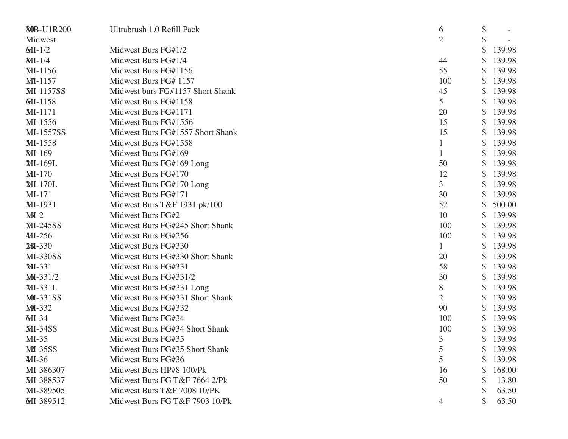| <b>80B-U1R200</b> | Ultrabrush 1.0 Refill Pack       | 6              | \$ |        |
|-------------------|----------------------------------|----------------|----|--------|
| Midwest           |                                  | 2              |    |        |
| $MI-1/2$          | Midwest Burs FG#1/2              |                | \$ | 139.98 |
| $MI-1/4$          | Midwest Burs FG#1/4              | 44             |    | 139.98 |
| MI-1156           | Midwest Burs FG#1156             | 55             | \$ | 139.98 |
| $M1-1157$         | Midwest Burs FG# 1157            | 100            |    | 139.98 |
| <b>MI-1157SS</b>  | Midwest burs FG#1157 Short Shank | 45             | S  | 139.98 |
| MI-1158           | Midwest Burs FG#1158             | 5              |    | 139.98 |
| MI-1171           | Midwest Burs FG#1171             | 20             |    | 139.98 |
| MI-1556           | Midwest Burs FG#1556             | 15             | \$ | 139.98 |
| <b>MI-1557SS</b>  | Midwest Burs FG#1557 Short Shank | 15             |    | 139.98 |
| MI-1558           | Midwest Burs FG#1558             | $\mathbf{1}$   | S  | 139.98 |
| <b>MI-169</b>     | Midwest Burs FG#169              | $\mathbf{1}$   | \$ | 139.98 |
| MI-169L           | Midwest Burs FG#169 Long         | 50             | \$ | 139.98 |
| $MI-170$          | Midwest Burs FG#170              | 12             | \$ | 139.98 |
| MI-170L           | Midwest Burs FG#170 Long         | 3              |    | 139.98 |
| $MI-171$          | Midwest Burs FG#171              | 30             | S  | 139.98 |
| MI-1931           | Midwest Burs T&F 1931 pk/100     | 52             |    | 500.00 |
| $M-I-2$           | Midwest Burs FG#2                | 10             |    | 139.98 |
| <b>MI-245SS</b>   | Midwest Burs FG#245 Short Shank  | 100            | \$ | 139.98 |
| MI-256            | Midwest Burs FG#256              | 100            |    | 139.98 |
| <b>MI-330</b>     | Midwest Burs FG#330              | $\mathbf{1}$   | \$ | 139.98 |
| <b>MI-330SS</b>   | Midwest Burs FG#330 Short Shank  | 20             |    | 139.98 |
| MI-331            | Midwest Burs FG#331              | 58             | \$ | 139.98 |
| MDI-331/2         | Midwest Burs FG#331/2            | 30             | \$ | 139.98 |
| MI-331L           | Midwest Burs FG#331 Long         | 8              |    | 139.98 |
| <b>MI-331SS</b>   | Midwest Burs FG#331 Short Shank  | $\overline{2}$ | \$ | 139.98 |
| <b>MI-332</b>     | Midwest Burs FG#332              | 90             |    | 139.98 |
| $MI-34$           | Midwest Burs FG#34               | 100            |    | 139.98 |
| $MI-34SS$         | Midwest Burs FG#34 Short Shank   | 100            |    | 139.98 |
| $MI-35$           | Midwest Burs FG#35               | 3              | \$ | 139.98 |
| $ML-35SS$         | Midwest Burs FG#35 Short Shank   | 5              | \$ | 139.98 |
| MI-36             | Midwest Burs FG#36               | 5              |    | 139.98 |
| MI-386307         | Midwest Burs HP#8 100/Pk         | 16             |    | 168.00 |
| MI-388537         | Midwest Burs FG T&F 7664 2/Pk    | 50             |    | 13.80  |
| MI-389505         | Midwest Burs T&F 7008 10/PK      |                |    | 63.50  |
| MI-389512         | Midwest Burs FG T&F 7903 10/Pk   | 4              |    | 63.50  |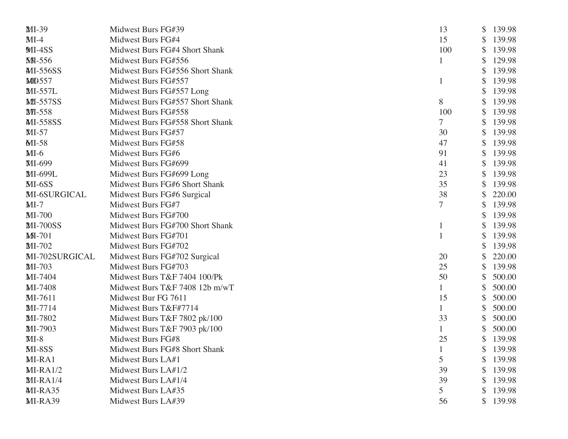| MI-39           | Midwest Burs FG#39              | 13          | \$ | 139.98 |
|-----------------|---------------------------------|-------------|----|--------|
| $MI-4$          | Midwest Burs FG#4               | 15          | \$ | 139.98 |
| $MI-4SS$        | Midwest Burs FG#4 Short Shank   | 100         | \$ | 139.98 |
| <b>MI-556</b>   | Midwest Burs FG#556             |             |    | 129.98 |
| MI-556SS        | Midwest Burs FG#556 Short Shank |             | \$ | 139.98 |
| <b>MD557</b>    | Midwest Burs FG#557             |             | S  | 139.98 |
| MI-557L         | Midwest Burs FG#557 Long        |             | \$ | 139.98 |
| <b>MI-557SS</b> | Midwest Burs FG#557 Short Shank | 8           | \$ | 139.98 |
| <b>MI-558</b>   | Midwest Burs FG#558             | 100         |    | 139.98 |
| <b>MI-558SS</b> | Midwest Burs FG#558 Short Shank | 7           | \$ | 139.98 |
| $MI-57$         | Midwest Burs FG#57              | 30          | \$ | 139.98 |
| $MI-58$         | Midwest Burs FG#58              | 47          | \$ | 139.98 |
| $MI-6$          | Midwest Burs FG#6               | 91          | \$ | 139.98 |
| MI-699          | Midwest Burs FG#699             | 41          |    | 139.98 |
| MI-699L         | Midwest Burs FG#699 Long        | 23          | \$ | 139.98 |
| $MI-6SS$        | Midwest Burs FG#6 Short Shank   | 35          | S  | 139.98 |
| MI-6SURGICAL    | Midwest Burs FG#6 Surgical      | 38          | \$ | 220.00 |
| $MI-7$          | Midwest Burs FG#7               | 7           | \$ | 139.98 |
| MI-700          | Midwest Burs FG#700             |             |    | 139.98 |
| <b>MI-700SS</b> | Midwest Burs FG#700 Short Shank |             | \$ | 139.98 |
| $M-I$ -701      | Midwest Burs FG#701             |             | S  | 139.98 |
| MI-702          | Midwest Burs FG#702             |             | S  | 139.98 |
| MI-702SURGICAL  | Midwest Burs FG#702 Surgical    | 20          |    | 220.00 |
| MI-703          | Midwest Burs FG#703             | 25          |    | 139.98 |
| MI-7404         | Midwest Burs T&F 7404 100/Pk    | 50          | \$ | 500.00 |
| MI-7408         | Midwest Burs T&F 7408 12b m/wT  |             | \$ | 500.00 |
| MI-7611         | Midwest Bur FG 7611             | 15          | \$ | 500.00 |
| MI-7714         | Midwest Burs T&F#7714           | $\mathbf 1$ | \$ | 500.00 |
| MI-7802         | Midwest Burs T&F 7802 pk/100    | 33          |    | 500.00 |
| MI-7903         | Midwest Burs T&F 7903 pk/100    |             | \$ | 500.00 |
| $MI-8$          | Midwest Burs FG#8               | 25          | \$ | 139.98 |
| MI-8SS          | Midwest Burs FG#8 Short Shank   |             | \$ | 139.98 |
| $MI-RA1$        | Midwest Burs LA#1               | 5           | \$ | 139.98 |
| $MI-RA1/2$      | Midwest Burs LA#1/2             | 39          | S  | 139.98 |
| $MI-RA1/4$      | Midwest Burs LA#1/4             | 39          | \$ | 139.98 |
| MI-RA35         | Midwest Burs LA#35              | 5           | \$ | 139.98 |
| MI-RA39         | Midwest Burs LA#39              | 56          | \$ | 139.98 |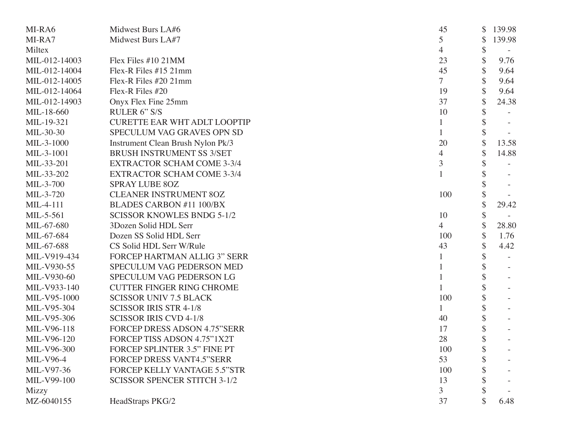| MI-RA6           | Midwest Burs LA#6                   | 45             | 139.98       |
|------------------|-------------------------------------|----------------|--------------|
| MI-RA7           | Midwest Burs LA#7                   | 5              | \$<br>139.98 |
| Miltex           |                                     | 4              | \$           |
| MIL-012-14003    | Flex Files #10 21MM                 | 23             | 9.76         |
| MIL-012-14004    | Flex-R Files #15 21mm               | 45             | \$<br>9.64   |
| MIL-012-14005    | Flex-R Files #20 21mm               | 7              | \$<br>9.64   |
| MIL-012-14064    | Flex-R Files #20                    | 19             | 9.64         |
| MIL-012-14903    | Onyx Flex Fine 25mm                 | 37             | \$<br>24.38  |
| MIL-18-660       | RULER 6" S/S                        | 10             |              |
| MIL-19-321       | <b>CURETTE EAR WHT ADLT LOOPTIP</b> |                |              |
| MIL-30-30        | SPECULUM VAG GRAVES OPN SD          |                | \$           |
| MIL-3-1000       | Instrument Clean Brush Nylon Pk/3   | 20             | \$<br>13.58  |
| MIL-3-1001       | <b>BRUSH INSTRUMENT SS 3/SET</b>    | 4              | \$<br>14.88  |
| MIL-33-201       | <b>EXTRACTOR SCHAM COME 3-3/4</b>   | 3              |              |
| MIL-33-202       | <b>EXTRACTOR SCHAM COME 3-3/4</b>   |                |              |
| MIL-3-700        | <b>SPRAY LUBE 80Z</b>               |                |              |
| MIL-3-720        | <b>CLEANER INSTRUMENT 80Z</b>       | 100            |              |
| MIL-4-111        | <b>BLADES CARBON #11 100/BX</b>     |                | 29.42        |
| MIL-5-561        | <b>SCISSOR KNOWLES BNDG 5-1/2</b>   | 10             | \$           |
| MIL-67-680       | 3Dozen Solid HDL Serr               | $\overline{4}$ | 28.80        |
| MIL-67-684       | Dozen SS Solid HDL Serr             | 100            | 1.76         |
| MIL-67-688       | CS Solid HDL Serr W/Rule            | 43             | 4.42         |
| MIL-V919-434     | <b>FORCEP HARTMAN ALLIG 3" SERR</b> |                |              |
| MIL-V930-55      | SPECULUM VAG PEDERSON MED           |                |              |
| MIL-V930-60      | SPECULUM VAG PEDERSON LG            |                |              |
| MIL-V933-140     | <b>CUTTER FINGER RING CHROME</b>    |                | \$           |
| MIL-V95-1000     | <b>SCISSOR UNIV 7.5 BLACK</b>       | 100            |              |
| MIL-V95-304      | <b>SCISSOR IRIS STR 4-1/8</b>       |                | \$           |
| MIL-V95-306      | <b>SCISSOR IRIS CVD 4-1/8</b>       | 40             | \$           |
| MIL-V96-118      | <b>FORCEP DRESS ADSON 4.75"SERR</b> | 17             | \$           |
| MIL-V96-120      | FORCEP TISS ADSON 4.75"1X2T         | 28             | \$           |
| MIL-V96-300      | FORCEP SPLINTER 3.5" FINE PT        | 100            |              |
| <b>MIL-V96-4</b> | <b>FORCEP DRESS VANT4.5"SERR</b>    | 53             |              |
| MIL-V97-36       | <b>FORCEP KELLY VANTAGE 5.5"STR</b> | 100            |              |
| MIL-V99-100      | <b>SCISSOR SPENCER STITCH 3-1/2</b> | 13             |              |
| Mizzy            |                                     | 3 <sup>1</sup> |              |
| MZ-6040155       | HeadStraps PKG/2                    | 37             | 6.48         |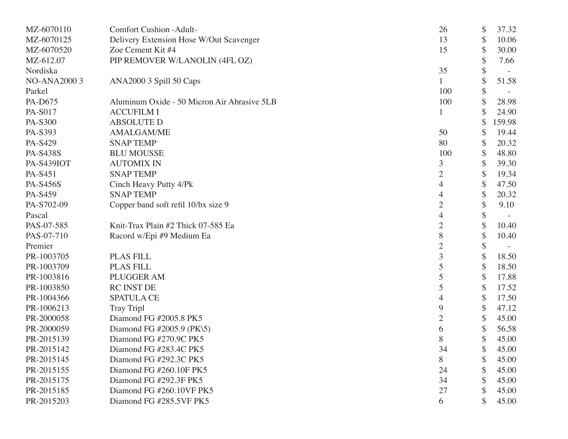| MZ-6070110         | <b>Comfort Cushion -Adult-</b>              | 26             | \$<br>37.32  |
|--------------------|---------------------------------------------|----------------|--------------|
| MZ-6070125         | Delivery Extension Hose W/Out Scavenger     | 13             | \$<br>10.06  |
| MZ-6070520         | Zoe Cement Kit #4                           | 15             | \$<br>30.00  |
| MZ-612.07          | PIP REMOVER W/LANOLIN (4FL OZ)              |                | \$<br>7.66   |
| Nordiska           |                                             | 35             | \$           |
| <b>NO-ANA20003</b> | ANA2000 3 Spill 50 Caps                     |                | \$<br>51.58  |
| Parkel             |                                             | 100            | \$           |
| PA-D675            | Aluminum Oxide - 50 Micron Air Abrasive 5LB | 100            | \$<br>28.98  |
| PA-S017            | <b>ACCUFILM I</b>                           |                | \$<br>24.90  |
| PA-S300            | <b>ABSOLUTE D</b>                           |                | \$<br>159.98 |
| PA-S393            | <b>AMALGAM/ME</b>                           | 50             | \$<br>19.44  |
| PA-S429            | <b>SNAPTEMP</b>                             | 80             | \$<br>20.32  |
| <b>PA-S438S</b>    | <b>BLU MOUSSE</b>                           | 100            | \$<br>48.80  |
| <b>PA-S439IOT</b>  | <b>AUTOMIX IN</b>                           | 3              | \$<br>39.30  |
| PA-S451            | <b>SNAPTEMP</b>                             | $\overline{2}$ | \$<br>19.34  |
| <b>PA-S456S</b>    | Cinch Heavy Putty 4/Pk                      | 4              | \$<br>47.50  |
| PA-S459            | <b>SNAPTEMP</b>                             | 4              | \$<br>20.32  |
| PA-S702-09         | Copper band soft refil 10/bx size 9         | $\overline{2}$ | \$<br>9.10   |
| Pascal             |                                             | $\overline{4}$ | \$           |
| PAS-07-585         | Knit-Trax Plain #2 Thick 07-585 Ea          | $\overline{2}$ | \$<br>10.40  |
| PAS-07-710         | Racord w/Epi #9 Medium Ea                   | 8              | \$<br>10.40  |
| Premier            |                                             | $\overline{2}$ | \$           |
| PR-1003705         | <b>PLAS FILL</b>                            | 3              | \$<br>18.50  |
| PR-1003709         | <b>PLAS FILL</b>                            | 5              | \$<br>18.50  |
| PR-1003816         | PLUGGER AM                                  | 5              | \$<br>17.88  |
| PR-1003850         | RC INST DE                                  | 5              | \$<br>17.52  |
| PR-1004366         | <b>SPATULA CE</b>                           | 4              | \$<br>17.50  |
| PR-1006213         | <b>Tray Tripl</b>                           | 9              | \$<br>47.12  |
| PR-2000058         | Diamond FG #2005.8 PK5                      | $\overline{2}$ | \$<br>45.00  |
| PR-2000059         | Diamond FG #2005.9 (PK\5)                   | 6              | \$<br>56.58  |
| PR-2015139         | Diamond FG #270.9C PK5                      | 8              | \$<br>45.00  |
| PR-2015142         | Diamond FG #283.4C PK5                      | 34             | \$<br>45.00  |
| PR-2015145         | Diamond FG #292.3C PK5                      | 8              | \$<br>45.00  |
| PR-2015155         | Diamond FG #260.10F PK5                     | 24             | \$<br>45.00  |
| PR-2015175         | Diamond FG #292.3F PK5                      | 34             | \$<br>45.00  |
| PR-2015185         | Diamond FG #260.10VF PK5                    | 27             | 45.00        |
| PR-2015203         | Diamond FG #285.5VF PK5                     | 6              | 45.00        |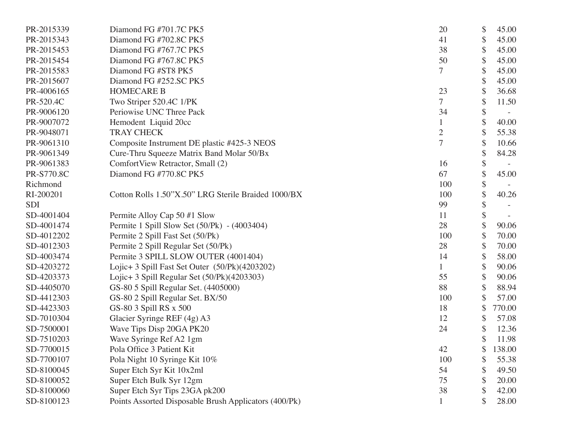| PR-2015339 | Diamond FG #701.7C PK5                                | 20             | \$<br>45.00  |
|------------|-------------------------------------------------------|----------------|--------------|
| PR-2015343 | Diamond FG #702.8C PK5                                | 41             | \$<br>45.00  |
| PR-2015453 | Diamond FG #767.7C PK5                                | 38             | \$<br>45.00  |
| PR-2015454 | Diamond FG #767.8C PK5                                | 50             | \$<br>45.00  |
| PR-2015583 | Diamond FG #ST8 PK5                                   | $\overline{7}$ | \$<br>45.00  |
| PR-2015607 | Diamond FG #252.SC PK5                                |                | \$<br>45.00  |
| PR-4006165 | <b>HOMECARE B</b>                                     | 23             | \$<br>36.68  |
| PR-520.4C  | Two Striper 520.4C 1/PK                               | 7              | \$<br>11.50  |
| PR-9006120 | Periowise UNC Three Pack                              | 34             | \$           |
| PR-9007072 | Hemodent Liquid 20cc                                  |                | \$<br>40.00  |
| PR-9048071 | <b>TRAY CHECK</b>                                     | $\overline{2}$ | \$<br>55.38  |
| PR-9061310 | Composite Instrument DE plastic #425-3 NEOS           | $\overline{7}$ | \$<br>10.66  |
| PR-9061349 | Cure-Thru Squeeze Matrix Band Molar 50/Bx             |                | \$<br>84.28  |
| PR-9061383 | ComfortView Retractor, Small (2)                      | 16             | \$           |
| PR-S770.8C | Diamond FG #770.8C PK5                                | 67             | \$<br>45.00  |
| Richmond   |                                                       | 100            | \$           |
| RI-200201  | Cotton Rolls 1.50"X.50" LRG Sterile Braided 1000/BX   | 100            | \$<br>40.26  |
| <b>SDI</b> |                                                       | 99             | \$           |
| SD-4001404 | Permite Alloy Cap 50 #1 Slow                          | 11             | \$           |
| SD-4001474 | Permite 1 Spill Slow Set (50/Pk) - (4003404)          | 28             | \$<br>90.06  |
| SD-4012202 | Permite 2 Spill Fast Set (50/Pk)                      | 100            | \$<br>70.00  |
| SD-4012303 | Permite 2 Spill Regular Set (50/Pk)                   | 28             | \$<br>70.00  |
| SD-4003474 | Permite 3 SPILL SLOW OUTER (4001404)                  | 14             | \$<br>58.00  |
| SD-4203272 | Lojic+ 3 Spill Fast Set Outer (50/Pk)(4203202)        |                | \$<br>90.06  |
| SD-4203373 | Lojic+ 3 Spill Regular Set (50/Pk)(4203303)           | 55             | \$<br>90.06  |
| SD-4405070 | GS-80 5 Spill Regular Set. (4405000)                  | 88             | \$<br>88.94  |
| SD-4412303 | GS-80 2 Spill Regular Set. BX/50                      | 100            | \$<br>57.00  |
| SD-4423303 | GS-80 3 Spill RS x 500                                | 18             | \$<br>770.00 |
| SD-7010304 | Glacier Syringe REF (4g) A3                           | 12             | \$<br>57.08  |
| SD-7500001 | Wave Tips Disp 20GA PK20                              | 24             | \$<br>12.36  |
| SD-7510203 | Wave Syringe Ref A2 1gm                               |                | \$<br>11.98  |
| SD-7700015 | Pola Office 3 Patient Kit                             | 42             | \$<br>138.00 |
| SD-7700107 | Pola Night 10 Syringe Kit 10%                         | 100            | \$<br>55.38  |
| SD-8100045 | Super Etch Syr Kit 10x2ml                             | 54             | \$<br>49.50  |
| SD-8100052 | Super Etch Bulk Syr 12gm                              | 75             | \$<br>20.00  |
| SD-8100060 | Super Etch Syr Tips 23GA pk200                        | 38             | \$<br>42.00  |
| SD-8100123 | Points Assorted Disposable Brush Applicators (400/Pk) |                | 28.00        |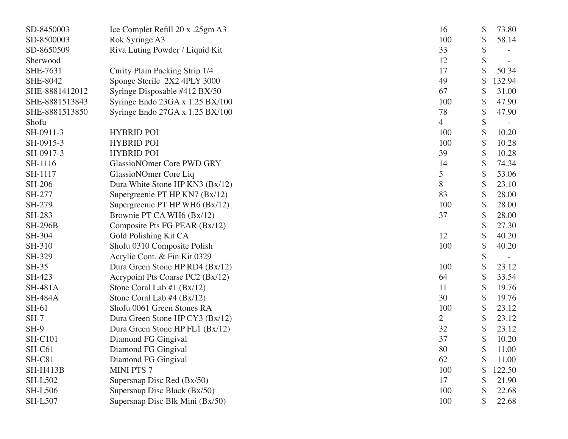| SD-8450003      | Ice Complet Refill 20 x .25gm A3 | 16             | \$ | 73.80  |
|-----------------|----------------------------------|----------------|----|--------|
| SD-8500003      | Rok Syringe A3                   | 100            | \$ | 58.14  |
| SD-8650509      | Riva Luting Powder / Liquid Kit  | 33             | \$ |        |
| Sherwood        |                                  | 12             | \$ |        |
| <b>SHE-7631</b> | Curity Plain Packing Strip 1/4   | 17             | \$ | 50.34  |
| SHE-8042        | Sponge Sterile 2X2 4PLY 3000     | 49             |    | 132.94 |
| SHE-8881412012  | Syringe Disposable #412 BX/50    | 67             | \$ | 31.00  |
| SHE-8881513843  | Syringe Endo 23GA x 1.25 BX/100  | 100            | \$ | 47.90  |
| SHE-8881513850  | Syringe Endo 27GA x 1.25 BX/100  | 78             | \$ | 47.90  |
| Shofu           |                                  | 4              | \$ |        |
| SH-0911-3       | <b>HYBRID POI</b>                | 100            | \$ | 10.20  |
| SH-0915-3       | <b>HYBRID POI</b>                | 100            | \$ | 10.28  |
| SH-0917-3       | <b>HYBRID POI</b>                | 39             | \$ | 10.28  |
| SH-1116         | GlassioNOmer Core PWD GRY        | 14             | \$ | 74.34  |
| SH-1117         | GlassioNOmer Core Liq            | 5              | \$ | 53.06  |
| <b>SH-206</b>   | Dura White Stone HP KN3 (Bx/12)  | 8              | \$ | 23.10  |
| SH-277          | Supergreenie PT HP KN7 (Bx/12)   | 83             | \$ | 28.00  |
| SH-279          | Supergreenie PT HP WH6 (Bx/12)   | 100            | \$ | 28.00  |
| SH-283          | Brownie PT CA WH6 (Bx/12)        | 37             | \$ | 28.00  |
| <b>SH-296B</b>  | Composite Pts FG PEAR (Bx/12)    |                | \$ | 27.30  |
| SH-304          | Gold Polishing Kit CA            | 12             | \$ | 40.20  |
| SH-310          | Shofu 0310 Composite Polish      | 100            | \$ | 40.20  |
| SH-329          | Acrylic Cont. & Fin Kit 0329     |                | \$ |        |
| <b>SH-35</b>    | Dura Green Stone HP RD4 (Bx/12)  | 100            | \$ | 23.12  |
| SH-423          | Acrypoint Pts Coarse PC2 (Bx/12) | 64             | \$ | 33.54  |
| <b>SH-481A</b>  | Stone Coral Lab $#1$ (Bx/12)     | 11             | \$ | 19.76  |
| <b>SH-484A</b>  | Stone Coral Lab $#4$ (Bx/12)     | 30             | \$ | 19.76  |
| SH-61           | Shofu 0061 Green Stones RA       | 100            | \$ | 23.12  |
| $SH-7$          | Dura Green Stone HP CY3 (Bx/12)  | $\overline{2}$ | \$ | 23.12  |
| $SH-9$          | Dura Green Stone HP FL1 (Bx/12)  | 32             | \$ | 23.12  |
| <b>SH-C101</b>  | Diamond FG Gingival              | 37             | \$ | 10.20  |
| SH-C61          | Diamond FG Gingival              | 80             | \$ | 11.00  |
| SH-C81          | Diamond FG Gingival              | 62             |    | 11.00  |
| <b>SH-H413B</b> | <b>MINI PTS 7</b>                | 100            | S  | 122.50 |
| <b>SH-L502</b>  | Supersnap Disc Red (Bx/50)       | 17             | \$ | 21.90  |
| <b>SH-L506</b>  | Supersnap Disc Black (Bx/50)     | 100            | \$ | 22.68  |
| <b>SH-L507</b>  | Supersnap Disc Blk Mini (Bx/50)  | 100            |    | 22.68  |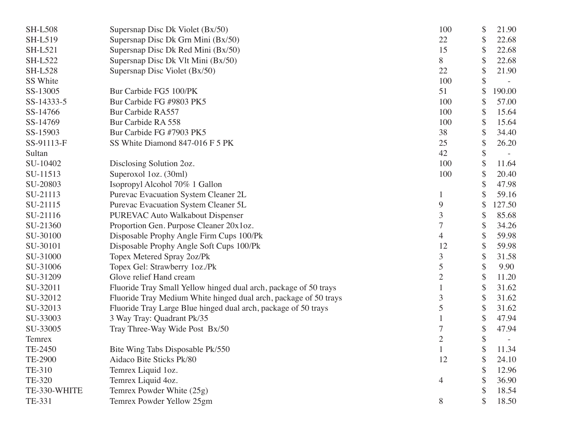| <b>SH-L508</b> | Supersnap Disc Dk Violet (Bx/50)                                 | 100            | \$<br>21.90  |
|----------------|------------------------------------------------------------------|----------------|--------------|
| <b>SH-L519</b> | Supersnap Disc Dk Grn Mini (Bx/50)                               | 22             | \$<br>22.68  |
| <b>SH-L521</b> | Supersnap Disc Dk Red Mini (Bx/50)                               | 15             | \$<br>22.68  |
| <b>SH-L522</b> | Supersnap Disc Dk Vlt Mini (Bx/50)                               | 8              | \$<br>22.68  |
| <b>SH-L528</b> | Supersnap Disc Violet (Bx/50)                                    | 22             | \$<br>21.90  |
| SS White       |                                                                  | 100            | \$           |
| SS-13005       | Bur Carbide FG5 100/PK                                           | 51             | \$<br>190.00 |
| SS-14333-5     | Bur Carbide FG #9803 PK5                                         | 100            | \$<br>57.00  |
| SS-14766       | Bur Carbide RA557                                                | 100            | \$<br>15.64  |
| SS-14769       | Bur Carbide RA 558                                               | 100            | \$<br>15.64  |
| SS-15903       | Bur Carbide FG #7903 PK5                                         | 38             | \$<br>34.40  |
| SS-91113-F     | SS White Diamond 847-016 F 5 PK                                  | 25             | \$<br>26.20  |
| Sultan         |                                                                  | 42             | \$           |
| SU-10402       | Disclosing Solution 2oz.                                         | 100            | 11.64        |
| SU-11513       | Superoxol 1oz. (30ml)                                            | 100            | \$<br>20.40  |
| SU-20803       | Isopropyl Alcohol 70% 1 Gallon                                   |                | \$<br>47.98  |
| SU-21113       | Purevac Evacuation System Cleaner 2L                             |                | 59.16        |
| SU-21115       | Purevac Evacuation System Cleaner 5L                             | 9              | \$<br>127.50 |
| SU-21116       | <b>PUREVAC Auto Walkabout Dispenser</b>                          | 3              | \$<br>85.68  |
| SU-21360       | Proportion Gen. Purpose Cleaner 20x1oz.                          |                | \$<br>34.26  |
| SU-30100       | Disposable Prophy Angle Firm Cups 100/Pk                         | 4              | \$<br>59.98  |
| SU-30101       | Disposable Prophy Angle Soft Cups 100/Pk                         | 12             | \$<br>59.98  |
| SU-31000       | Topex Metered Spray 2oz/Pk                                       | 3              | \$<br>31.58  |
| SU-31006       | Topex Gel: Strawberry 1oz./Pk                                    | 5              | \$<br>9.90   |
| SU-31209       | Glove relief Hand cream                                          | $\overline{2}$ | \$<br>11.20  |
| SU-32011       | Fluoride Tray Small Yellow hinged dual arch, package of 50 trays |                | \$<br>31.62  |
| SU-32012       | Fluoride Tray Medium White hinged dual arch, package of 50 trays | 3              | \$<br>31.62  |
| SU-32013       | Fluoride Tray Large Blue hinged dual arch, package of 50 trays   | 5              | \$<br>31.62  |
| SU-33003       | 3 Way Tray: Quadrant Pk/35                                       |                | \$<br>47.94  |
| SU-33005       | Tray Three-Way Wide Post Bx/50                                   |                | \$<br>47.94  |
| Temrex         |                                                                  | $\mathbf{2}$   | \$           |
| TE-2450        | Bite Wing Tabs Disposable Pk/550                                 |                | \$<br>11.34  |
| TE-2900        | Aidaco Bite Sticks Pk/80                                         | 12             | 24.10        |
| TE-310         | Temrex Liquid 1oz.                                               |                | 12.96        |
| TE-320         | Temrex Liquid 4oz.                                               | 4              | 36.90        |
| TE-330-WHITE   | Temrex Powder White (25g)                                        |                | 18.54        |
| TE-331         | Temrex Powder Yellow 25gm                                        | 8              | 18.50        |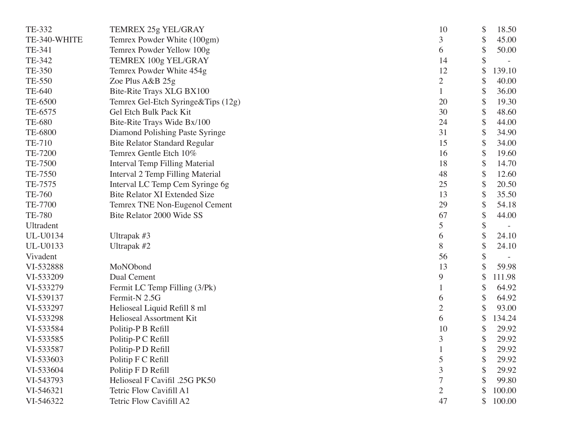| TE-332        | TEMREX 25g YEL/GRAY                   | 10             | \$<br>18.50  |
|---------------|---------------------------------------|----------------|--------------|
| TE-340-WHITE  | Temrex Powder White (100gm)           | 3              | \$<br>45.00  |
| TE-341        | Temrex Powder Yellow 100g             | 6              | \$<br>50.00  |
| TE-342        | TEMREX 100g YEL/GRAY                  | 14             | \$           |
| TE-350        | Temrex Powder White 454g              | 12             | \$<br>139.10 |
| TE-550        | Zoe Plus A&B 25g                      | $\overline{2}$ | \$<br>40.00  |
| TE-640        | Bite-Rite Trays XLG BX100             |                | \$<br>36.00  |
| TE-6500       | Temrex Gel-Etch Syringe&Tips (12g)    | 20             | \$<br>19.30  |
| TE-6575       | Gel Etch Bulk Pack Kit                | 30             | \$<br>48.60  |
| <b>TE-680</b> | Bite-Rite Trays Wide Bx/100           | 24             | \$<br>44.00  |
| TE-6800       | Diamond Polishing Paste Syringe       | 31             | \$<br>34.90  |
| TE-710        | <b>Bite Relator Standard Regular</b>  | 15             | \$<br>34.00  |
| TE-7200       | Temrex Gentle Etch 10%                | 16             | \$<br>19.60  |
| TE-7500       | <b>Interval Temp Filling Material</b> | 18             | \$<br>14.70  |
| TE-7550       | Interval 2 Temp Filling Material      | 48             | \$<br>12.60  |
| TE-7575       | Interval LC Temp Cem Syringe 6g       | 25             | \$<br>20.50  |
| TE-760        | <b>Bite Relator XI Extended Size</b>  | 13             | \$<br>35.50  |
| TE-7700       | Temrex TNE Non-Eugenol Cement         | 29             | \$<br>54.18  |
| <b>TE-780</b> | Bite Relator 2000 Wide SS             | 67             | \$<br>44.00  |
| Ultradent     |                                       | 5              | \$           |
| UL-U0134      | Ultrapak #3                           | 6              | \$<br>24.10  |
| UL-U0133      | Ultrapak #2                           | 8              | \$<br>24.10  |
| Vivadent      |                                       | 56             | \$           |
| VI-532888     | MoNObond                              | 13             | 59.98        |
| VI-533209     | Dual Cement                           | 9              | \$<br>111.98 |
| VI-533279     | Fermit LC Temp Filling (3/Pk)         |                | \$<br>64.92  |
| VI-539137     | Fermit-N 2.5G                         | 6              | \$<br>64.92  |
| VI-533297     | Helioseal Liquid Refill 8 ml          | 2              | \$<br>93.00  |
| VI-533298     | Helioseal Assortment Kit              | 6              | \$<br>134.24 |
| VI-533584     | Politip-P B Refill                    | 10             | \$<br>29.92  |
| VI-533585     | Politip-P C Refill                    | 3              | \$<br>29.92  |
| VI-533587     | Politip-P D Refill                    |                | \$<br>29.92  |
| VI-533603     | Politip F C Refill                    | 5              | 29.92        |
| VI-533604     | Politip F D Refill                    | 3              | 29.92        |
| VI-543793     | Helioseal F Cavifil .25G PK50         |                | 99.80        |
| VI-546321     | Tetric Flow Cavifill A1               | $\overline{2}$ | 100.00       |
| VI-546322     | Tetric Flow Cavifill A2               | 47             | \$<br>100.00 |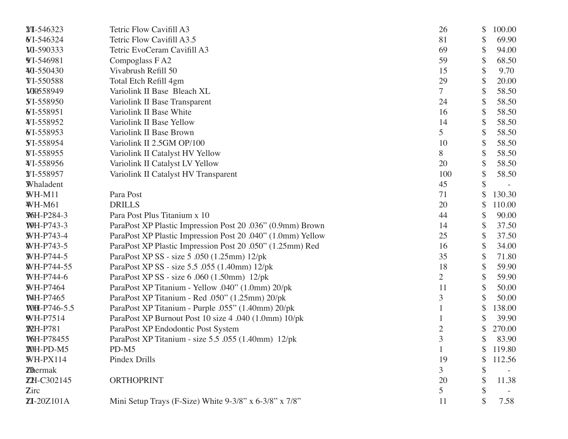| $XI - 546323$     | Tetric Flow Cavifill A3                                     | 26             | \$<br>100.00 |
|-------------------|-------------------------------------------------------------|----------------|--------------|
| WI-546324         | Tetric Flow Cavifill A3.5                                   | 81             | \$<br>69.90  |
| M-590333          | Tetric EvoCeram Cavifill A3                                 | 69             | \$<br>94.00  |
| <b>WI-546981</b>  | Compoglass FA2                                              | 59             | \$<br>68.50  |
| ¥0-550430         | Vivabrush Refill 50                                         | 15             | \$<br>9.70   |
| <b>WI-550588</b>  | Total Etch Refill 4gm                                       | 29             | \$<br>20.00  |
| M0558949          | Variolink II Base Bleach XL                                 | 7              | 58.50        |
| <b>Y</b> I-558950 | Variolink II Base Transparent                               | 24             | \$<br>58.50  |
| WI-558951         | Variolink II Base White                                     | 16             | \$<br>58.50  |
| ¥I-558952         | Variolink II Base Yellow                                    | 14             | \$<br>58.50  |
| WI-558953         | Variolink II Base Brown                                     | 5              | \$<br>58.50  |
| <b>VI-558954</b>  | Variolink II 2.5GM OP/100                                   | 10             | 58.50        |
| <b>WI-558955</b>  | Variolink II Catalyst HV Yellow                             | 8              | \$<br>58.50  |
| ¥I-558956         | Variolink II Catalyst LV Yellow                             | 20             | \$<br>58.50  |
| ¥I-558957         | Variolink II Catalyst HV Transparent                        | 100            | \$<br>58.50  |
| Whaladent         |                                                             | 45             | \$           |
| $WH-M11$          | Para Post                                                   | 71             | 130.30       |
| <b>WH-M61</b>     | <b>DRILLS</b>                                               | 20             | \$<br>110.00 |
| W6H-P284-3        | Para Post Plus Titanium x 10                                | 44             | \$<br>90.00  |
| <b>WH-P743-3</b>  | ParaPost XP Plastic Impression Post 20 .036" (0.9mm) Brown  | 14             | \$<br>37.50  |
| <b>WH-P743-4</b>  | ParaPost XP Plastic Impression Post 20 .040" (1.0mm) Yellow | 25             | \$<br>37.50  |
| <b>WH-P743-5</b>  | ParaPost XP Plastic Impression Post 20 .050" (1.25mm) Red   | 16             | \$<br>34.00  |
| WH-P744-5         | ParaPost XP SS - size 5 .050 (1.25mm) 12/pk                 | 35             | \$<br>71.80  |
| WH-P744-55        | ParaPost XP SS - size 5.5 .055 (1.40mm) 12/pk               | 18             | \$<br>59.90  |
| WH-P744-6         | ParaPost XP SS - size 6 .060 (1.50mm) 12/pk                 | $\overline{2}$ | \$<br>59.90  |
| <b>WH-P7464</b>   | ParaPost XP Titanium - Yellow .040" (1.0mm) 20/pk           | 11             | \$<br>50.00  |
| <b>WH-P7465</b>   | ParaPost XP Titanium - Red .050" (1.25mm) 20/pk             | 3              | 50.00        |
| WH-P746-5.5       | ParaPost XP Titanium - Purple .055" (1.40mm) 20/pk          |                | \$<br>138.00 |
| <b>WH-P7514</b>   | ParaPost XP Burnout Post 10 size 4 .040 (1.0mm) 10/pk       |                | 39.90        |
| <b>XVH-P781</b>   | ParaPost XP Endodontic Post System                          | 2              | 270.00       |
| W6H-P78455        | ParaPost XP Titanium - size 5.5 .055 (1.40mm) 12/pk         | 3              | 83.90        |
| WH-PD-M5          | $PD-M5$                                                     |                | \$<br>119.80 |
| $WH-PX114$        | Pindex Drills                                               | 19             | \$<br>112.56 |
| <b>Z</b> ermak    |                                                             | 3              |              |
| ZH-C302145        | <b>ORTHOPRINT</b>                                           | 20             | 11.38        |
| Zirc              |                                                             | 5              |              |
| ZI-20Z101A        | Mini Setup Trays (F-Size) White 9-3/8" x 6-3/8" x 7/8"      | 11             | 7.58         |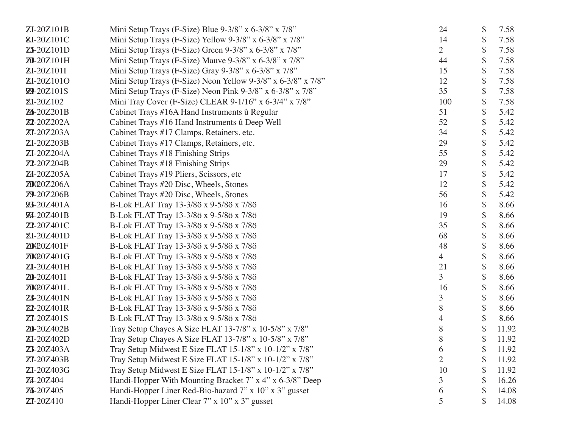| ZI-20Z101B         | Mini Setup Trays (F-Size) Blue 9-3/8" x 6-3/8" x 7/8"          | 24             | \$<br>7.58  |
|--------------------|----------------------------------------------------------------|----------------|-------------|
| <b>ZI-20Z101C</b>  | Mini Setup Trays (F-Size) Yellow 9-3/8" x 6-3/8" x 7/8"        | 14             | \$<br>7.58  |
| Z5-20Z101D         | Mini Setup Trays (F-Size) Green 9-3/8" x 6-3/8" x 7/8"         | $\overline{2}$ | \$<br>7.58  |
| Z0-20Z101H         | Mini Setup Trays (F-Size) Mauve 9-3/8" x 6-3/8" x 7/8"         | 44             | \$<br>7.58  |
| ZI-20Z101I         | Mini Setup Trays (F-Size) Gray $9-3/8$ " x $6-3/8$ " x $7/8$ " | 15             | \$<br>7.58  |
| ZI-20Z101O         | Mini Setup Trays (F-Size) Neon Yellow 9-3/8" x 6-3/8" x 7/8"   | 12             | \$<br>7.58  |
| <b>29-20Z101S</b>  | Mini Setup Trays (F-Size) Neon Pink 9-3/8" x 6-3/8" x 7/8"     | 35             | \$<br>7.58  |
| $ZI-20Z102$        | Mini Tray Cover (F-Size) CLEAR 9-1/16" x 6-3/4" x 7/8"         | 100            | \$<br>7.58  |
| Z6-20Z201B         | Cabinet Trays #16A Hand Instruments û Regular                  | 51             | 5.42        |
| <b>Z1-20Z202A</b>  | Cabinet Trays #16 Hand Instruments û Deep Well                 | 52             | \$<br>5.42  |
| <b>ZT-20Z203A</b>  | Cabinet Trays #17 Clamps, Retainers, etc.                      | 34             | \$<br>5.42  |
| ZI-20Z203B         | Cabinet Trays #17 Clamps, Retainers, etc.                      | 29             | \$<br>5.42  |
| ZI-20Z204A         | Cabinet Trays #18 Finishing Strips                             | 55             | \$<br>5.42  |
| Z1-20Z204B         | Cabinet Trays #18 Finishing Strips                             | 29             | 5.42        |
| Z4-20Z205A         | Cabinet Trays #19 Pliers, Scissors, etc                        | 17             | \$<br>5.42  |
| ZOQOZ206A          | Cabinet Trays #20 Disc, Wheels, Stones                         | 12             | \$<br>5.42  |
| Z9-20Z206B         | Cabinet Trays #20 Disc, Wheels, Stones                         | 56             | \$<br>5.42  |
| <b>23-20Z401A</b>  | B-Lok FLAT Tray 13-3/8ö x 9-5/8ö x 7/8ö                        | 16             | \$<br>8.66  |
| <b>24-20Z401B</b>  | B-Lok FLAT Tray 13-3/8ö x 9-5/8ö x 7/8ö                        | 19             | \$<br>8.66  |
| <b>Z1-20Z401C</b>  | B-Lok FLAT Tray 13-3/8ö x 9-5/8ö x 7/8ö                        | 35             | \$<br>8.66  |
| <b>ZI-20Z401D</b>  | B-Lok FLAT Tray 13-3/8ö x 9-5/8ö x 7/8ö                        | 68             | \$<br>8.66  |
| Z0020Z401F         | B-Lok FLAT Tray 13-3/8ö x 9-5/8ö x 7/8ö                        | 48             | \$<br>8.66  |
| Z0020Z401G         | B-Lok FLAT Tray 13-3/8ö x 9-5/8ö x 7/8ö                        | 4              | \$<br>8.66  |
| ZI-20Z401H         | B-Lok FLAT Tray 13-3/8ö x 9-5/8ö x 7/8ö                        | 21             | \$<br>8.66  |
| <b>Z0-20Z401I</b>  | B-Lok FLAT Tray 13-3/8ö x 9-5/8ö x 7/8ö                        | 3              | \$<br>8.66  |
| Z0020Z401L         | B-Lok FLAT Tray 13-3/8ö x 9-5/8ö x 7/8ö                        | 16             | \$<br>8.66  |
| <b>Z</b> 8-20Z401N | B-Lok FLAT Tray 13-3/8ö x 9-5/8ö x 7/8ö                        | 3              | \$<br>8.66  |
| <b>Z1-20Z401R</b>  | B-Lok FLAT Tray 13-3/8ö x 9-5/8ö x 7/8ö                        | 8              | \$<br>8.66  |
| <b>ZT-20Z401S</b>  | B-Lok FLAT Tray 13-3/8ö x 9-5/8ö x 7/8ö                        | 4              | 8.66        |
| <b>Z0-20Z402B</b>  | Tray Setup Chayes A Size FLAT 13-7/8" x 10-5/8" x 7/8"         | 8              | \$<br>11.92 |
| ZI-20Z402D         | Tray Setup Chayes A Size FLAT 13-7/8" x 10-5/8" x 7/8"         | 8              | \$<br>11.92 |
| Z3-20Z403A         | Tray Setup Midwest E Size FLAT 15-1/8" x 10-1/2" x 7/8"        | 6              | \$<br>11.92 |
| <b>ZT-20Z403B</b>  | Tray Setup Midwest E Size FLAT 15-1/8" x 10-1/2" x 7/8"        |                | 11.92       |
| ZI-20Z403G         | Tray Setup Midwest E Size FLAT 15-1/8" x 10-1/2" x 7/8"        | 10             | 11.92       |
| <b>Z4-20Z404</b>   | Handi-Hopper With Mounting Bracket 7" x 4" x 6-3/8" Deep       | 3              | \$<br>16.26 |
| Z6-20Z405          | Handi-Hopper Liner Red-Bio-hazard 7" x 10" x 3" gusset         | 6              | \$<br>14.08 |
| <b>ZT-20Z410</b>   | Handi-Hopper Liner Clear 7" x 10" x 3" gusset                  | 5              | 14.08       |
|                    |                                                                |                |             |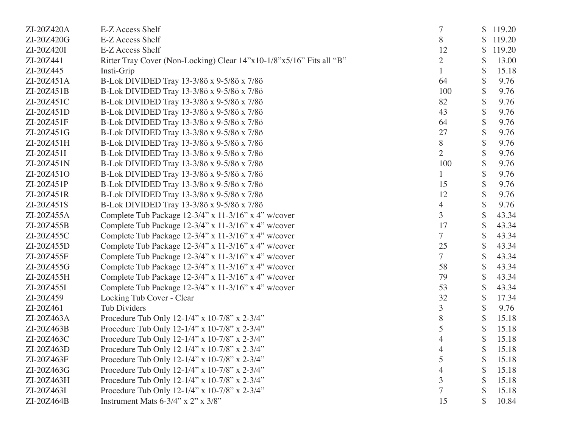| ZI-20Z420A | E-Z Access Shelf                                                     |                | \$<br>119.20 |
|------------|----------------------------------------------------------------------|----------------|--------------|
| ZI-20Z420G | E-Z Access Shelf                                                     | 8              | \$<br>119.20 |
| ZI-20Z420I | E-Z Access Shelf                                                     | 12             | \$<br>119.20 |
| ZI-20Z441  | Ritter Tray Cover (Non-Locking) Clear 14"x10-1/8"x5/16" Fits all "B" | $\overline{2}$ | \$<br>13.00  |
| ZI-20Z445  | Insti-Grip                                                           |                | \$<br>15.18  |
| ZI-20Z451A | B-Lok DIVIDED Tray 13-3/8ö x 9-5/8ö x 7/8ö                           | 64             | \$<br>9.76   |
| ZI-20Z451B | B-Lok DIVIDED Tray 13-3/8ö x 9-5/8ö x 7/8ö                           | 100            | \$<br>9.76   |
| ZI-20Z451C | B-Lok DIVIDED Tray 13-3/8ö x 9-5/8ö x 7/8ö                           | 82             | \$<br>9.76   |
| ZI-20Z451D | B-Lok DIVIDED Tray 13-3/8ö x 9-5/8ö x 7/8ö                           | 43             | \$<br>9.76   |
| ZI-20Z451F | B-Lok DIVIDED Tray 13-3/8ö x 9-5/8ö x 7/8ö                           | 64             | \$<br>9.76   |
| ZI-20Z451G | B-Lok DIVIDED Tray 13-3/8ö x 9-5/8ö x 7/8ö                           | 27             | \$<br>9.76   |
| ZI-20Z451H | B-Lok DIVIDED Tray 13-3/8ö x 9-5/8ö x 7/8ö                           | 8              | \$<br>9.76   |
| ZI-20Z451I | B-Lok DIVIDED Tray 13-3/8ö x 9-5/8ö x 7/8ö                           | $\overline{2}$ | \$<br>9.76   |
| ZI-20Z451N | B-Lok DIVIDED Tray 13-3/8ö x 9-5/8ö x 7/8ö                           | 100            | \$<br>9.76   |
| ZI-20Z451O | B-Lok DIVIDED Tray 13-3/8ö x 9-5/8ö x 7/8ö                           |                | \$<br>9.76   |
| ZI-20Z451P | B-Lok DIVIDED Tray 13-3/8ö x 9-5/8ö x 7/8ö                           | 15             | \$<br>9.76   |
| ZI-20Z451R | B-Lok DIVIDED Tray 13-3/8ö x 9-5/8ö x 7/8ö                           | 12             | \$<br>9.76   |
| ZI-20Z451S | B-Lok DIVIDED Tray 13-3/8ö x 9-5/8ö x 7/8ö                           | 4              | \$<br>9.76   |
| ZI-20Z455A | Complete Tub Package 12-3/4" x 11-3/16" x 4" w/cover                 | $\overline{3}$ | 43.34        |
| ZI-20Z455B | Complete Tub Package 12-3/4" x 11-3/16" x 4" w/cover                 | 17             | \$<br>43.34  |
| ZI-20Z455C | Complete Tub Package 12-3/4" x 11-3/16" x 4" w/cover                 | 7              | 43.34        |
| ZI-20Z455D | Complete Tub Package 12-3/4" x 11-3/16" x 4" w/cover                 | 25             | \$<br>43.34  |
| ZI-20Z455F | Complete Tub Package 12-3/4" x 11-3/16" x 4" w/cover                 | 7              | \$<br>43.34  |
| ZI-20Z455G | Complete Tub Package 12-3/4" x 11-3/16" x 4" w/cover                 | 58             | 43.34        |
| ZI-20Z455H | Complete Tub Package 12-3/4" x 11-3/16" x 4" w/cover                 | 79             | \$<br>43.34  |
| ZI-20Z455I | Complete Tub Package 12-3/4" x 11-3/16" x 4" w/cover                 | 53             | \$<br>43.34  |
| ZI-20Z459  | Locking Tub Cover - Clear                                            | 32             | \$<br>17.34  |
| ZI-20Z461  | <b>Tub Dividers</b>                                                  | 3              | \$<br>9.76   |
| ZI-20Z463A | Procedure Tub Only 12-1/4" x 10-7/8" x 2-3/4"                        | 8              | \$<br>15.18  |
| ZI-20Z463B | Procedure Tub Only 12-1/4" x 10-7/8" x 2-3/4"                        | 5              | \$<br>15.18  |
| ZI-20Z463C | Procedure Tub Only 12-1/4" x 10-7/8" x 2-3/4"                        | 4              | \$<br>15.18  |
| ZI-20Z463D | Procedure Tub Only 12-1/4" x 10-7/8" x 2-3/4"                        | 4              | \$<br>15.18  |
| ZI-20Z463F | Procedure Tub Only 12-1/4" x 10-7/8" x 2-3/4"                        | 5              | 15.18        |
| ZI-20Z463G | Procedure Tub Only 12-1/4" x 10-7/8" x 2-3/4"                        | 4              | 15.18        |
| ZI-20Z463H | Procedure Tub Only 12-1/4" x 10-7/8" x 2-3/4"                        | 3              | 15.18        |
| ZI-20Z463I | Procedure Tub Only 12-1/4" x 10-7/8" x 2-3/4"                        |                | 15.18        |
| ZI-20Z464B | Instrument Mats 6-3/4" x 2" x 3/8"                                   | 15             | 10.84        |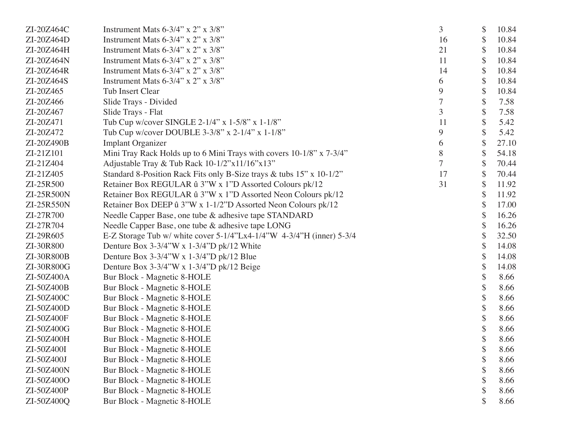| ZI-20Z464C | Instrument Mats $6-3/4$ " x $2$ " x $3/8$ "                          | 3  | \$<br>10.84 |
|------------|----------------------------------------------------------------------|----|-------------|
| ZI-20Z464D | Instrument Mats $6-3/4$ " x $2$ " x $3/8$ "                          | 16 | \$<br>10.84 |
| ZI-20Z464H | Instrument Mats $6-3/4$ " x $2$ " x $3/8$ "                          | 21 | \$<br>10.84 |
| ZI-20Z464N | Instrument Mats $6-3/4$ " x $2$ " x $3/8$ "                          | 11 | \$<br>10.84 |
| ZI-20Z464R | Instrument Mats $6-3/4$ " x $2$ " x $3/8$ "                          | 14 | \$<br>10.84 |
| ZI-20Z464S | Instrument Mats 6-3/4" x 2" x 3/8"                                   | 6  | \$<br>10.84 |
| ZI-20Z465  | <b>Tub Insert Clear</b>                                              | 9  | \$<br>10.84 |
| ZI-20Z466  | Slide Trays - Divided                                                | 7  | \$<br>7.58  |
| ZI-20Z467  | Slide Trays - Flat                                                   | 3  | \$<br>7.58  |
| ZI-20Z471  | Tub Cup w/cover SINGLE 2-1/4" x 1-5/8" x 1-1/8"                      | 11 | \$<br>5.42  |
| ZI-20Z472  | Tub Cup w/cover DOUBLE 3-3/8" x 2-1/4" x 1-1/8"                      | 9  | \$<br>5.42  |
| ZI-20Z490B | <b>Implant Organizer</b>                                             | 6  | \$<br>27.10 |
| ZI-21Z101  | Mini Tray Rack Holds up to 6 Mini Trays with covers 10-1/8" x 7-3/4" | 8  | \$<br>54.18 |
| ZI-21Z404  | Adjustable Tray & Tub Rack 10-1/2"x11/16"x13"                        | 7  | \$<br>70.44 |
| ZI-21Z405  | Standard 8-Position Rack Fits only B-Size trays & tubs 15" x 10-1/2" | 17 | \$<br>70.44 |
| ZI-25R500  | Retainer Box REGULAR û 3"W x 1"D Assorted Colours pk/12              | 31 | \$<br>11.92 |
| ZI-25R500N | Retainer Box REGULAR û 3"W x 1"D Assorted Neon Colours pk/12         |    | \$<br>11.92 |
| ZI-25R550N | Retainer Box DEEP û 3"W x 1-1/2"D Assorted Neon Colours pk/12        |    | \$<br>17.00 |
| ZI-27R700  | Needle Capper Base, one tube & adhesive tape STANDARD                |    | \$<br>16.26 |
| ZI-27R704  | Needle Capper Base, one tube & adhesive tape LONG                    |    | \$<br>16.26 |
| ZI-29R605  | E-Z Storage Tub w/ white cover 5-1/4"Lx4-1/4"W 4-3/4"H (inner) 5-3/4 |    | \$<br>32.50 |
| ZI-30R800  | Denture Box $3-3/4$ "W x $1-3/4$ "D pk/12 White                      |    | \$<br>14.08 |
| ZI-30R800B | Denture Box $3-3/4$ "W x $1-3/4$ "D pk/12 Blue                       |    | \$<br>14.08 |
| ZI-30R800G | Denture Box 3-3/4"W x 1-3/4"D pk/12 Beige                            |    | \$<br>14.08 |
| ZI-50Z400A | Bur Block - Magnetic 8-HOLE                                          |    | \$<br>8.66  |
| ZI-50Z400B | Bur Block - Magnetic 8-HOLE                                          |    | 8.66        |
| ZI-50Z400C | Bur Block - Magnetic 8-HOLE                                          |    | 8.66        |
| ZI-50Z400D | Bur Block - Magnetic 8-HOLE                                          |    | \$<br>8.66  |
| ZI-50Z400F | Bur Block - Magnetic 8-HOLE                                          |    | \$<br>8.66  |
| ZI-50Z400G | Bur Block - Magnetic 8-HOLE                                          |    | \$<br>8.66  |
| ZI-50Z400H | Bur Block - Magnetic 8-HOLE                                          |    | \$<br>8.66  |
| ZI-50Z400I | Bur Block - Magnetic 8-HOLE                                          |    | \$<br>8.66  |
| ZI-50Z400J | <b>Bur Block - Magnetic 8-HOLE</b>                                   |    | 8.66        |
| ZI-50Z400N | Bur Block - Magnetic 8-HOLE                                          |    | 8.66        |
| ZI-50Z400O | Bur Block - Magnetic 8-HOLE                                          |    | \$<br>8.66  |
| ZI-50Z400P | Bur Block - Magnetic 8-HOLE                                          |    | 8.66        |
| ZI-50Z400Q | Bur Block - Magnetic 8-HOLE                                          |    | 8.66        |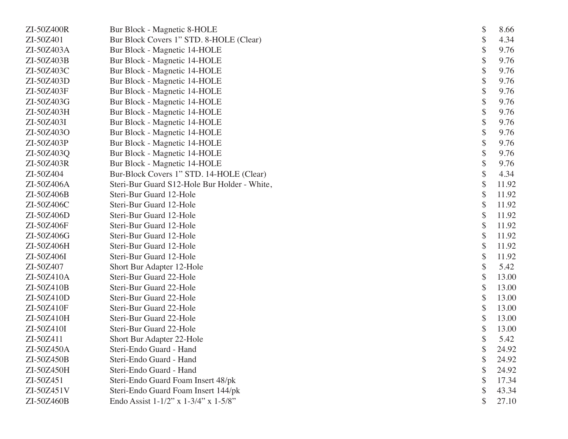| ZI-50Z400R | Bur Block - Magnetic 8-HOLE                  | \$<br>8.66  |
|------------|----------------------------------------------|-------------|
| ZI-50Z401  | Bur Block Covers 1" STD. 8-HOLE (Clear)      | \$<br>4.34  |
| ZI-50Z403A | Bur Block - Magnetic 14-HOLE                 | \$<br>9.76  |
| ZI-50Z403B | Bur Block - Magnetic 14-HOLE                 | \$<br>9.76  |
| ZI-50Z403C | Bur Block - Magnetic 14-HOLE                 | \$<br>9.76  |
| ZI-50Z403D | Bur Block - Magnetic 14-HOLE                 | \$<br>9.76  |
| ZI-50Z403F | Bur Block - Magnetic 14-HOLE                 | \$<br>9.76  |
| ZI-50Z403G | Bur Block - Magnetic 14-HOLE                 | \$<br>9.76  |
| ZI-50Z403H | Bur Block - Magnetic 14-HOLE                 | 9.76        |
| ZI-50Z403I | Bur Block - Magnetic 14-HOLE                 | \$<br>9.76  |
| ZI-50Z403O | Bur Block - Magnetic 14-HOLE                 | \$<br>9.76  |
| ZI-50Z403P | Bur Block - Magnetic 14-HOLE                 | \$<br>9.76  |
| ZI-50Z403Q | Bur Block - Magnetic 14-HOLE                 | \$<br>9.76  |
| ZI-50Z403R | Bur Block - Magnetic 14-HOLE                 | 9.76        |
| ZI-50Z404  | Bur-Block Covers 1" STD. 14-HOLE (Clear)     | \$<br>4.34  |
| ZI-50Z406A | Steri-Bur Guard S12-Hole Bur Holder - White, | \$<br>11.92 |
| ZI-50Z406B | Steri-Bur Guard 12-Hole                      | \$<br>11.92 |
| ZI-50Z406C | Steri-Bur Guard 12-Hole                      | \$<br>11.92 |
| ZI-50Z406D | Steri-Bur Guard 12-Hole                      | \$<br>11.92 |
| ZI-50Z406F | Steri-Bur Guard 12-Hole                      | \$<br>11.92 |
| ZI-50Z406G | Steri-Bur Guard 12-Hole                      | \$<br>11.92 |
| ZI-50Z406H | Steri-Bur Guard 12-Hole                      | \$<br>11.92 |
| ZI-50Z406I | Steri-Bur Guard 12-Hole                      | \$<br>11.92 |
| ZI-50Z407  | Short Bur Adapter 12-Hole                    | 5.42        |
| ZI-50Z410A | Steri-Bur Guard 22-Hole                      | \$<br>13.00 |
| ZI-50Z410B | Steri-Bur Guard 22-Hole                      | \$<br>13.00 |
| ZI-50Z410D | Steri-Bur Guard 22-Hole                      | \$<br>13.00 |
| ZI-50Z410F | Steri-Bur Guard 22-Hole                      | \$<br>13.00 |
| ZI-50Z410H | Steri-Bur Guard 22-Hole                      | \$<br>13.00 |
| ZI-50Z410I | Steri-Bur Guard 22-Hole                      | \$<br>13.00 |
| ZI-50Z411  | Short Bur Adapter 22-Hole                    | \$<br>5.42  |
| ZI-50Z450A | Steri-Endo Guard - Hand                      | \$<br>24.92 |
| ZI-50Z450B | Steri-Endo Guard - Hand                      | 24.92       |
| ZI-50Z450H | Steri-Endo Guard - Hand                      | 24.92       |
| ZI-50Z451  | Steri-Endo Guard Foam Insert 48/pk           | \$<br>17.34 |
| ZI-50Z451V | Steri-Endo Guard Foam Insert 144/pk          | \$<br>43.34 |
| ZI-50Z460B | Endo Assist 1-1/2" x 1-3/4" x 1-5/8"         | 27.10       |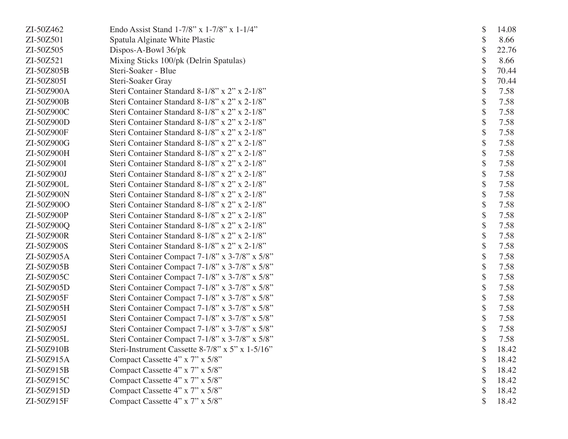| ZI-50Z462  | Endo Assist Stand $1-7/8$ " x $1-7/8$ " x $1-1/4$ " |
|------------|-----------------------------------------------------|
| ZI-50Z501  | Spatula Alginate White Plastic                      |
| ZI-50Z505  | Dispos-A-Bowl 36/pk                                 |
| ZI-50Z521  | Mixing Sticks 100/pk (Delrin Spatulas)              |
| ZI-50Z805B | Steri-Soaker - Blue                                 |
| ZI-50Z805I | Steri-Soaker Gray                                   |
| ZI-50Z900A | Steri Container Standard 8-1/8" x 2" x 2-1/8"       |
| ZI-50Z900B | Steri Container Standard 8-1/8" x 2" x 2-1/8"       |
| ZI-50Z900C | Steri Container Standard 8-1/8" x 2" x 2-1/8"       |
| ZI-50Z900D | Steri Container Standard 8-1/8" x 2" x 2-1/8"       |
| ZI-50Z900F | Steri Container Standard 8-1/8" x 2" x 2-1/8"       |
| ZI-50Z900G | Steri Container Standard 8-1/8" x 2" x 2-1/8"       |
| ZI-50Z900H | Steri Container Standard 8-1/8" x 2" x 2-1/8"       |
| ZI-50Z900I | Steri Container Standard 8-1/8" x 2" x 2-1/8"       |
| ZI-50Z900J | Steri Container Standard 8-1/8" x 2" x 2-1/8"       |
| ZI-50Z900L | Steri Container Standard 8-1/8" x 2" x 2-1/8"       |
| ZI-50Z900N | Steri Container Standard 8-1/8" x 2" x 2-1/8"       |
| ZI-50Z900O | Steri Container Standard 8-1/8" x 2" x 2-1/8"       |
| ZI-50Z900P | Steri Container Standard 8-1/8" x 2" x 2-1/8"       |
| ZI-50Z900Q | Steri Container Standard 8-1/8" x 2" x 2-1/8"       |
| ZI-50Z900R | Steri Container Standard 8-1/8" x 2" x 2-1/8"       |
| ZI-50Z900S | Steri Container Standard 8-1/8" x 2" x 2-1/8"       |
| ZI-50Z905A | Steri Container Compact 7-1/8" x 3-7/8" x 5/8"      |
| ZI-50Z905B | Steri Container Compact 7-1/8" x 3-7/8" x 5/8"      |
| ZI-50Z905C | Steri Container Compact 7-1/8" x 3-7/8" x 5/8"      |
| ZI-50Z905D | Steri Container Compact 7-1/8" x 3-7/8" x 5/8"      |
| ZI-50Z905F | Steri Container Compact 7-1/8" x 3-7/8" x 5/8"      |
| ZI-50Z905H | Steri Container Compact 7-1/8" x 3-7/8" x 5/8"      |
| ZI-50Z905I | Steri Container Compact 7-1/8" x 3-7/8" x 5/8"      |
| ZI-50Z905J | Steri Container Compact 7-1/8" x 3-7/8" x 5/8"      |
| ZI-50Z905L | Steri Container Compact 7-1/8" x 3-7/8" x 5/8"      |
| ZI-50Z910B | Steri-Instrument Cassette 8-7/8" x 5" x 1-5/16"     |
| ZI-50Z915A | Compact Cassette 4" x 7" x 5/8"                     |
| ZI-50Z915B | Compact Cassette 4" x 7" x 5/8"                     |
| ZI-50Z915C | Compact Cassette 4" x 7" x 5/8"                     |
| ZI-50Z915D | Compact Cassette 4" x 7" x 5/8"                     |
| ZI-50Z915F | Compact Cassette 4" x 7" x 5/8"                     |
|            |                                                     |

 $$ 14.08$ <br> $$ 8.66$  $$8.66$ <br> $$22.76$  \$ 22.76 \$ 8.66 \$ 70.44  $$70.44$ <br> $$7.58$  $$7.58$ <br> $$7.58$  $$7.58$ <br> $$7.58$  $$7.58$ <br> $$7.58$  \$ 7.58  $$7.58$ <br> $$7.58$  $$7.58$ <br> $$7.58$  $\begin{array}{cc} $ & 7.58 \\ $ & 7.58 \end{array}$  $$7.58$ <br> $$7.58$  $$7.58$ <br> $$7.58$  $$7.58$ <br> $$7.58$  $$7.58$ <br> $$7.58$  \$ 7.58  $$7.58$ <br> $$7.58$  \$ 7.58  $$7.58$ <br> $$7.58$  $$7.58$ <br> $$7.58$  \$ 7.58 \$ 7.58 \$ 7.58  $$7.58$ <br> $$7.58$  $$7.58$ <br> $$7.58$  \$ 7.58  $$7.58$ <br> $$7.58$  $$7.58$ <br> $$7.58$  $$7.58$ <br> $$18.42$  $$ 18.42$ <br> $$ 18.42$ 18.42 \$ 18.42 \$ 18.42  $$ 18.42$ <br> $$ 18.42$ 18.42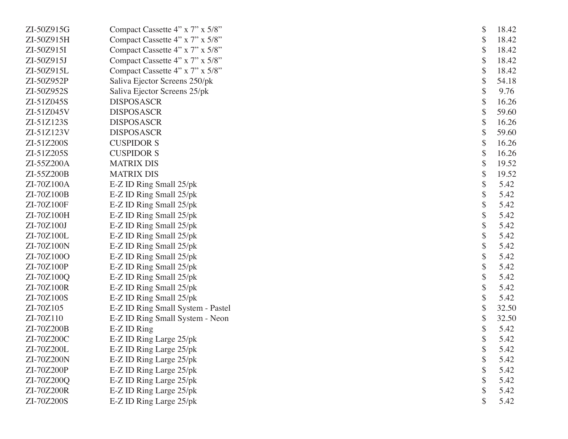| ZI-50Z915G | Compact Cassette 4" x 7" x 5/8"   | \$ | 18.42 |
|------------|-----------------------------------|----|-------|
| ZI-50Z915H | Compact Cassette 4" x 7" x 5/8"   | \$ | 18.42 |
| ZI-50Z915I | Compact Cassette 4" x 7" x 5/8"   | \$ | 18.42 |
| ZI-50Z915J | Compact Cassette 4" x 7" x 5/8"   | \$ | 18.42 |
| ZI-50Z915L | Compact Cassette 4" x 7" x 5/8"   | \$ | 18.42 |
| ZI-50Z952P | Saliva Ejector Screens 250/pk     | \$ | 54.18 |
| ZI-50Z952S | Saliva Ejector Screens 25/pk      | \$ | 9.76  |
| ZI-51Z045S | <b>DISPOSASCR</b>                 | \$ | 16.26 |
| ZI-51Z045V | <b>DISPOSASCR</b>                 | \$ | 59.60 |
| ZI-51Z123S | <b>DISPOSASCR</b>                 | \$ | 16.26 |
| ZI-51Z123V | <b>DISPOSASCR</b>                 | \$ | 59.60 |
| ZI-51Z200S | <b>CUSPIDOR S</b>                 | \$ | 16.26 |
| ZI-51Z205S | <b>CUSPIDOR S</b>                 | \$ | 16.26 |
| ZI-55Z200A | <b>MATRIX DIS</b>                 | \$ | 19.52 |
| ZI-55Z200B | <b>MATRIX DIS</b>                 | \$ | 19.52 |
| ZI-70Z100A | E-Z ID Ring Small 25/pk           | \$ | 5.42  |
| ZI-70Z100B | E-Z ID Ring Small 25/pk           | \$ | 5.42  |
| ZI-70Z100F | E-Z ID Ring Small 25/pk           | \$ | 5.42  |
| ZI-70Z100H | E-Z ID Ring Small 25/pk           | \$ | 5.42  |
| ZI-70Z100J | E-Z ID Ring Small 25/pk           | \$ | 5.42  |
| ZI-70Z100L | E-Z ID Ring Small 25/pk           | \$ | 5.42  |
| ZI-70Z100N | E-Z ID Ring Small 25/pk           | \$ | 5.42  |
| ZI-70Z100O | E-Z ID Ring Small 25/pk           | \$ | 5.42  |
| ZI-70Z100P | E-Z ID Ring Small 25/pk           | \$ | 5.42  |
| ZI-70Z100Q | E-Z ID Ring Small 25/pk           | \$ | 5.42  |
| ZI-70Z100R | E-Z ID Ring Small 25/pk           | \$ | 5.42  |
| ZI-70Z100S | E-Z ID Ring Small 25/pk           | \$ | 5.42  |
| ZI-70Z105  | E-Z ID Ring Small System - Pastel | \$ | 32.50 |
| ZI-70Z110  | E-Z ID Ring Small System - Neon   | \$ | 32.50 |
| ZI-70Z200B | E-Z ID Ring                       | \$ | 5.42  |
| ZI-70Z200C | E-Z ID Ring Large 25/pk           | \$ | 5.42  |
| ZI-70Z200L | E-Z ID Ring Large 25/pk           | P  | 5.42  |
| ZI-70Z200N | E-Z ID Ring Large 25/pk           | \$ | 5.42  |
| ZI-70Z200P | E-Z ID Ring Large 25/pk           |    | 5.42  |
| ZI-70Z200Q | E-Z ID Ring Large 25/pk           |    | 5.42  |
| ZI-70Z200R | E-Z ID Ring Large 25/pk           |    | 5.42  |
| ZI-70Z200S | E-Z ID Ring Large 25/pk           |    | 5.42  |